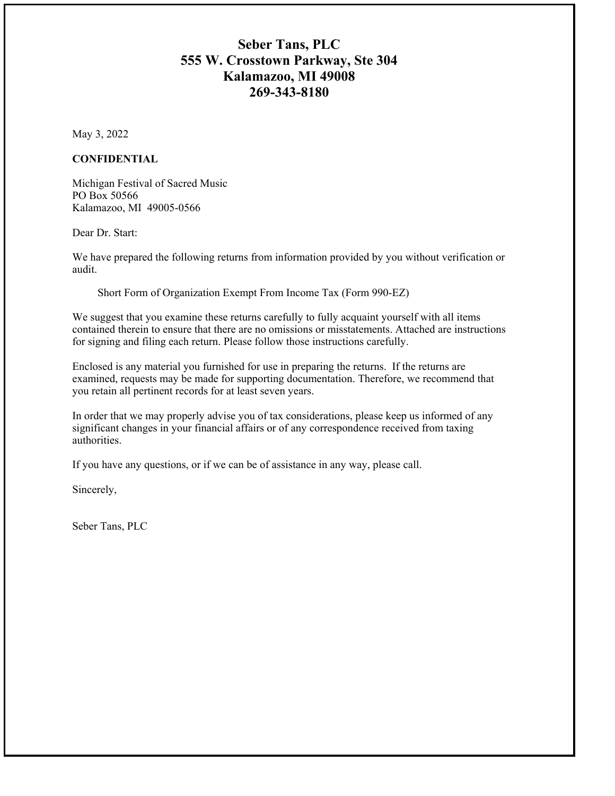## **Seber Tans, PLC 555 W. Crosstown Parkway, Ste 304 Kalamazoo, MI 49008 269-343-8180**

May 3, 2022

#### **CONFIDENTIAL**

Michigan Festival of Sacred Music PO Box 50566 Kalamazoo, MI 49005-0566

Dear Dr. Start:

We have prepared the following returns from information provided by you without verification or audit.

Short Form of Organization Exempt From Income Tax (Form 990-EZ)

We suggest that you examine these returns carefully to fully acquaint yourself with all items contained therein to ensure that there are no omissions or misstatements. Attached are instructions for signing and filing each return. Please follow those instructions carefully.

Enclosed is any material you furnished for use in preparing the returns. If the returns are examined, requests may be made for supporting documentation. Therefore, we recommend that you retain all pertinent records for at least seven years.

In order that we may properly advise you of tax considerations, please keep us informed of any significant changes in your financial affairs or of any correspondence received from taxing authorities.

If you have any questions, or if we can be of assistance in any way, please call.

Sincerely,

Seber Tans, PLC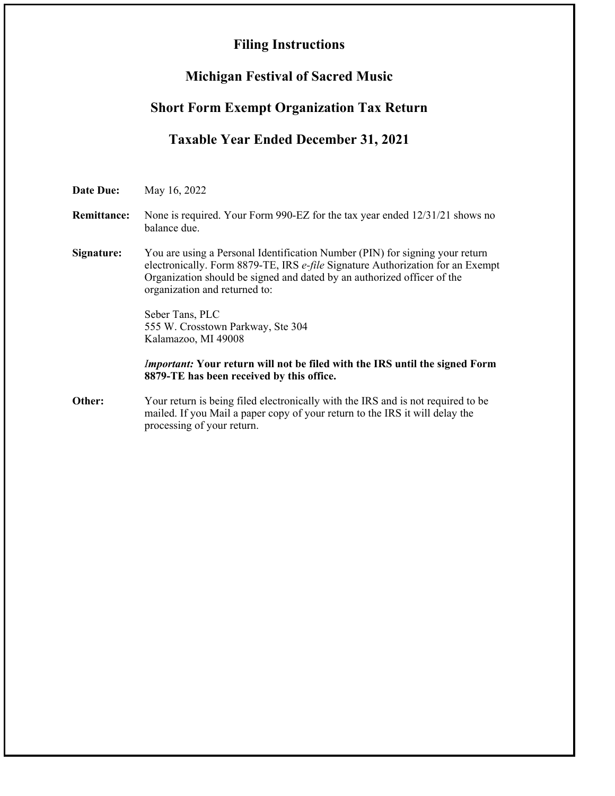## **Filing Instructions**

## **Michigan Festival of Sacred Music**

## **Short Form Exempt Organization Tax Return**

## **Taxable Year Ended December 31, 2021**

**Date Due:** May 16, 2022

- **Remittance:** None is required. Your Form 990-EZ for the tax year ended 12/31/21 shows no balance due.
- **Signature:** You are using a Personal Identification Number (PIN) for signing your return electronically. Form 8879-TE, IRS *e-file* Signature Authorization for an Exempt Organization should be signed and dated by an authorized officer of the organization and returned to:

Seber Tans, PLC 555 W. Crosstown Parkway, Ste 304 Kalamazoo, MI 49008

*Important:* **Your return will not be filed with the IRS until the signed Form 8879-TE has been received by this office.**

**Other:** Your return is being filed electronically with the IRS and is not required to be mailed. If you Mail a paper copy of your return to the IRS it will delay the processing of your return.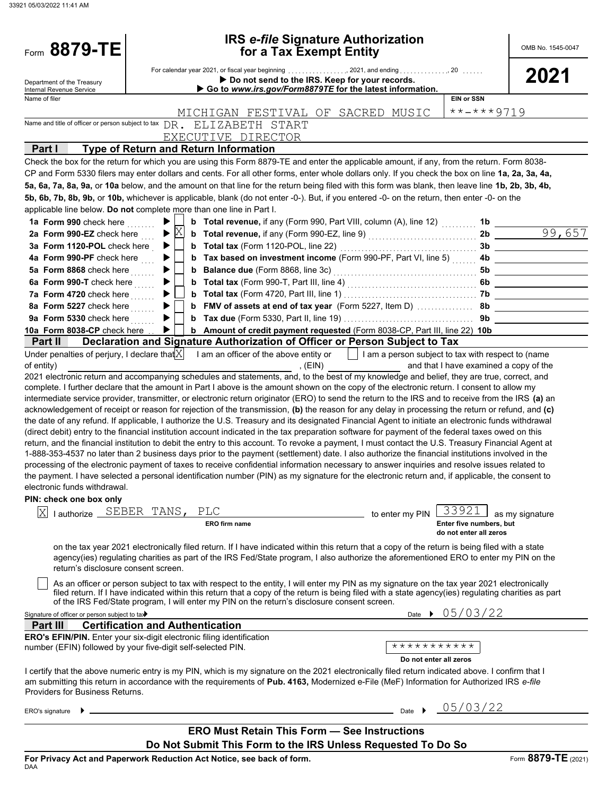| Form 8879-TE                                                                                                                                 |                                         | IRS e-file Signature Authorization<br>for a Tax Exempt Entity                                                                                                                                                                                                                                                                                                                                                                                                                                                                                                                                                                                                                                                                                                                                                                                                                                                                                                                                                                                                                                                                                                                                                                                                                                                                                                                                                                                                                                                                            |                        |                                                            | OMB No. 1545-0047   |
|----------------------------------------------------------------------------------------------------------------------------------------------|-----------------------------------------|------------------------------------------------------------------------------------------------------------------------------------------------------------------------------------------------------------------------------------------------------------------------------------------------------------------------------------------------------------------------------------------------------------------------------------------------------------------------------------------------------------------------------------------------------------------------------------------------------------------------------------------------------------------------------------------------------------------------------------------------------------------------------------------------------------------------------------------------------------------------------------------------------------------------------------------------------------------------------------------------------------------------------------------------------------------------------------------------------------------------------------------------------------------------------------------------------------------------------------------------------------------------------------------------------------------------------------------------------------------------------------------------------------------------------------------------------------------------------------------------------------------------------------------|------------------------|------------------------------------------------------------|---------------------|
| Department of the Treasury<br>Internal Revenue Service                                                                                       |                                         | Do not send to the IRS. Keep for your records.<br>Go to www.irs.gov/Form8879TE for the latest information.                                                                                                                                                                                                                                                                                                                                                                                                                                                                                                                                                                                                                                                                                                                                                                                                                                                                                                                                                                                                                                                                                                                                                                                                                                                                                                                                                                                                                               |                        |                                                            | 2021                |
| Name of filer                                                                                                                                |                                         |                                                                                                                                                                                                                                                                                                                                                                                                                                                                                                                                                                                                                                                                                                                                                                                                                                                                                                                                                                                                                                                                                                                                                                                                                                                                                                                                                                                                                                                                                                                                          |                        | <b>EIN or SSN</b>                                          |                     |
|                                                                                                                                              |                                         | MICHIGAN FESTIVAL OF SACRED MUSIC<br>Name and title of officer or person subject to tax DR. ELIZABETH START<br>EXECUTIVE DIRECTOR                                                                                                                                                                                                                                                                                                                                                                                                                                                                                                                                                                                                                                                                                                                                                                                                                                                                                                                                                                                                                                                                                                                                                                                                                                                                                                                                                                                                        |                        | $******9719$                                               |                     |
| Part I                                                                                                                                       |                                         | <b>Type of Return and Return Information</b>                                                                                                                                                                                                                                                                                                                                                                                                                                                                                                                                                                                                                                                                                                                                                                                                                                                                                                                                                                                                                                                                                                                                                                                                                                                                                                                                                                                                                                                                                             |                        |                                                            |                     |
|                                                                                                                                              |                                         | Check the box for the return for which you are using this Form 8879-TE and enter the applicable amount, if any, from the return. Form 8038-                                                                                                                                                                                                                                                                                                                                                                                                                                                                                                                                                                                                                                                                                                                                                                                                                                                                                                                                                                                                                                                                                                                                                                                                                                                                                                                                                                                              |                        |                                                            |                     |
|                                                                                                                                              |                                         | CP and Form 5330 filers may enter dollars and cents. For all other forms, enter whole dollars only. If you check the box on line 1a, 2a, 3a, 4a,<br>5a, 6a, 7a, 8a, 9a, or 10a below, and the amount on that line for the return being filed with this form was blank, then leave line 1b, 2b, 3b, 4b,                                                                                                                                                                                                                                                                                                                                                                                                                                                                                                                                                                                                                                                                                                                                                                                                                                                                                                                                                                                                                                                                                                                                                                                                                                   |                        |                                                            |                     |
| applicable line below. Do not complete more than one line in Part I.                                                                         |                                         | 5b, 6b, 7b, 8b, 9b, or 10b, whichever is applicable, blank (do not enter -0-). But, if you entered -0- on the return, then enter -0- on the                                                                                                                                                                                                                                                                                                                                                                                                                                                                                                                                                                                                                                                                                                                                                                                                                                                                                                                                                                                                                                                                                                                                                                                                                                                                                                                                                                                              |                        |                                                            |                     |
| 1a Form 990 check here <b>Support</b>                                                                                                        | ▶                                       | <b>b</b> Total revenue, if any (Form 990, Part VIII, column (A), line 12) $\ldots$                                                                                                                                                                                                                                                                                                                                                                                                                                                                                                                                                                                                                                                                                                                                                                                                                                                                                                                                                                                                                                                                                                                                                                                                                                                                                                                                                                                                                                                       |                        | 1b.                                                        |                     |
| 2a Form 990-EZ check here $\ldots$                                                                                                           | X<br>▶                                  | b Total revenue, if any (Form 990-EZ, line 9)                                                                                                                                                                                                                                                                                                                                                                                                                                                                                                                                                                                                                                                                                                                                                                                                                                                                                                                                                                                                                                                                                                                                                                                                                                                                                                                                                                                                                                                                                            |                        |                                                            | $2b$ $99,657$       |
| 3a Form 1120-POL check here                                                                                                                  | ▶                                       |                                                                                                                                                                                                                                                                                                                                                                                                                                                                                                                                                                                                                                                                                                                                                                                                                                                                                                                                                                                                                                                                                                                                                                                                                                                                                                                                                                                                                                                                                                                                          |                        | 3 <sub>b</sub>                                             |                     |
| 4a Form 990-PF check here                                                                                                                    | ▶                                       | b Tax based on investment income (Form 990-PF, Part VI, line 5)                                                                                                                                                                                                                                                                                                                                                                                                                                                                                                                                                                                                                                                                                                                                                                                                                                                                                                                                                                                                                                                                                                                                                                                                                                                                                                                                                                                                                                                                          |                        |                                                            |                     |
| 5a Form 8868 check here <b>Supply</b>                                                                                                        | ▶                                       | b Balance due (Form 8868, line 3c) [11] Balance due (Form 8868, line 3c) [11] Balance due (Form 8868, line 3c)                                                                                                                                                                                                                                                                                                                                                                                                                                                                                                                                                                                                                                                                                                                                                                                                                                                                                                                                                                                                                                                                                                                                                                                                                                                                                                                                                                                                                           |                        | 5b                                                         |                     |
| 6a Form 990-T check here                                                                                                                     | $\blacktriangleright$                   |                                                                                                                                                                                                                                                                                                                                                                                                                                                                                                                                                                                                                                                                                                                                                                                                                                                                                                                                                                                                                                                                                                                                                                                                                                                                                                                                                                                                                                                                                                                                          |                        |                                                            |                     |
| 7a Form 4720 check here                                                                                                                      |                                         |                                                                                                                                                                                                                                                                                                                                                                                                                                                                                                                                                                                                                                                                                                                                                                                                                                                                                                                                                                                                                                                                                                                                                                                                                                                                                                                                                                                                                                                                                                                                          |                        |                                                            |                     |
| 8a Form 5227 check here                                                                                                                      | ▶                                       |                                                                                                                                                                                                                                                                                                                                                                                                                                                                                                                                                                                                                                                                                                                                                                                                                                                                                                                                                                                                                                                                                                                                                                                                                                                                                                                                                                                                                                                                                                                                          |                        |                                                            |                     |
| 9a Form 5330 check here $\ldots$                                                                                                             | ▶                                       |                                                                                                                                                                                                                                                                                                                                                                                                                                                                                                                                                                                                                                                                                                                                                                                                                                                                                                                                                                                                                                                                                                                                                                                                                                                                                                                                                                                                                                                                                                                                          |                        |                                                            | 9b                  |
| 10a Form 8038-CP check here<br>Part II                                                                                                       | ▶                                       | b Amount of credit payment requested (Form 8038-CP, Part III, line 22) 10b<br>Declaration and Signature Authorization of Officer or Person Subject to Tax                                                                                                                                                                                                                                                                                                                                                                                                                                                                                                                                                                                                                                                                                                                                                                                                                                                                                                                                                                                                                                                                                                                                                                                                                                                                                                                                                                                |                        |                                                            |                     |
| Under penalties of perjury, I declare that $X$                                                                                               |                                         | I am an officer of the above entity or     I am a person subject to tax with respect to (name                                                                                                                                                                                                                                                                                                                                                                                                                                                                                                                                                                                                                                                                                                                                                                                                                                                                                                                                                                                                                                                                                                                                                                                                                                                                                                                                                                                                                                            |                        |                                                            |                     |
| of entity)<br>electronic funds withdrawal.                                                                                                   |                                         | , (EIN)<br>2021 electronic return and accompanying schedules and statements, and, to the best of my knowledge and belief, they are true, correct, and<br>complete. I further declare that the amount in Part I above is the amount shown on the copy of the electronic return. I consent to allow my<br>intermediate service provider, transmitter, or electronic return originator (ERO) to send the return to the IRS and to receive from the IRS (a) an<br>acknowledgement of receipt or reason for rejection of the transmission, (b) the reason for any delay in processing the return or refund, and (c)<br>the date of any refund. If applicable, I authorize the U.S. Treasury and its designated Financial Agent to initiate an electronic funds withdrawal<br>(direct debit) entry to the financial institution account indicated in the tax preparation software for payment of the federal taxes owed on this<br>return, and the financial institution to debit the entry to this account. To revoke a payment, I must contact the U.S. Treasury Financial Agent at<br>1-888-353-4537 no later than 2 business days prior to the payment (settlement) date. I also authorize the financial institutions involved in the<br>processing of the electronic payment of taxes to receive confidential information necessary to answer inquiries and resolve issues related to<br>the payment. I have selected a personal identification number (PIN) as my signature for the electronic return and, if applicable, the consent to |                        | and that I have examined a copy of the                     |                     |
| PIN: check one box only                                                                                                                      |                                         |                                                                                                                                                                                                                                                                                                                                                                                                                                                                                                                                                                                                                                                                                                                                                                                                                                                                                                                                                                                                                                                                                                                                                                                                                                                                                                                                                                                                                                                                                                                                          |                        |                                                            |                     |
| I authorize SEBER TANS,<br>ΙX                                                                                                                |                                         | PLC<br>ERO firm name                                                                                                                                                                                                                                                                                                                                                                                                                                                                                                                                                                                                                                                                                                                                                                                                                                                                                                                                                                                                                                                                                                                                                                                                                                                                                                                                                                                                                                                                                                                     | to enter my PIN        | 33921<br>Enter five numbers, but<br>do not enter all zeros | as my signature     |
| return's disclosure consent screen.                                                                                                          |                                         | on the tax year 2021 electronically filed return. If I have indicated within this return that a copy of the return is being filed with a state<br>agency(ies) regulating charities as part of the IRS Fed/State program, I also authorize the aforementioned ERO to enter my PIN on the                                                                                                                                                                                                                                                                                                                                                                                                                                                                                                                                                                                                                                                                                                                                                                                                                                                                                                                                                                                                                                                                                                                                                                                                                                                  |                        |                                                            |                     |
|                                                                                                                                              |                                         | As an officer or person subject to tax with respect to the entity, I will enter my PIN as my signature on the tax year 2021 electronically<br>filed return. If I have indicated within this return that a copy of the return is being filed with a state agency(ies) regulating charities as part<br>of the IRS Fed/State program, I will enter my PIN on the return's disclosure consent screen.                                                                                                                                                                                                                                                                                                                                                                                                                                                                                                                                                                                                                                                                                                                                                                                                                                                                                                                                                                                                                                                                                                                                        |                        |                                                            |                     |
| Signature of officer or person subject to tax                                                                                                |                                         |                                                                                                                                                                                                                                                                                                                                                                                                                                                                                                                                                                                                                                                                                                                                                                                                                                                                                                                                                                                                                                                                                                                                                                                                                                                                                                                                                                                                                                                                                                                                          |                        | Date $\rightarrow$ 05/03/22                                |                     |
| Part III                                                                                                                                     | <b>Certification and Authentication</b> |                                                                                                                                                                                                                                                                                                                                                                                                                                                                                                                                                                                                                                                                                                                                                                                                                                                                                                                                                                                                                                                                                                                                                                                                                                                                                                                                                                                                                                                                                                                                          |                        |                                                            |                     |
| <b>ERO's EFIN/PIN.</b> Enter your six-digit electronic filing identification<br>number (EFIN) followed by your five-digit self-selected PIN. |                                         |                                                                                                                                                                                                                                                                                                                                                                                                                                                                                                                                                                                                                                                                                                                                                                                                                                                                                                                                                                                                                                                                                                                                                                                                                                                                                                                                                                                                                                                                                                                                          | ***********            |                                                            |                     |
| Providers for Business Returns.                                                                                                              |                                         | I certify that the above numeric entry is my PIN, which is my signature on the 2021 electronically filed return indicated above. I confirm that I<br>am submitting this return in accordance with the requirements of Pub. 4163, Modernized e-File (MeF) Information for Authorized IRS e-file                                                                                                                                                                                                                                                                                                                                                                                                                                                                                                                                                                                                                                                                                                                                                                                                                                                                                                                                                                                                                                                                                                                                                                                                                                           | Do not enter all zeros |                                                            |                     |
| ERO's signature                                                                                                                              |                                         |                                                                                                                                                                                                                                                                                                                                                                                                                                                                                                                                                                                                                                                                                                                                                                                                                                                                                                                                                                                                                                                                                                                                                                                                                                                                                                                                                                                                                                                                                                                                          | Date                   | 05/03/22                                                   |                     |
|                                                                                                                                              |                                         |                                                                                                                                                                                                                                                                                                                                                                                                                                                                                                                                                                                                                                                                                                                                                                                                                                                                                                                                                                                                                                                                                                                                                                                                                                                                                                                                                                                                                                                                                                                                          |                        |                                                            |                     |
|                                                                                                                                              |                                         | <b>ERO Must Retain This Form - See Instructions</b><br>Do Not Submit This Form to the IRS Unless Requested To Do So                                                                                                                                                                                                                                                                                                                                                                                                                                                                                                                                                                                                                                                                                                                                                                                                                                                                                                                                                                                                                                                                                                                                                                                                                                                                                                                                                                                                                      |                        |                                                            |                     |
|                                                                                                                                              |                                         | For Privacy Act and Paperwork Reduction Act Notice, see back of form.                                                                                                                                                                                                                                                                                                                                                                                                                                                                                                                                                                                                                                                                                                                                                                                                                                                                                                                                                                                                                                                                                                                                                                                                                                                                                                                                                                                                                                                                    |                        |                                                            | Form 8879-TE (2021) |
| DAA                                                                                                                                          |                                         |                                                                                                                                                                                                                                                                                                                                                                                                                                                                                                                                                                                                                                                                                                                                                                                                                                                                                                                                                                                                                                                                                                                                                                                                                                                                                                                                                                                                                                                                                                                                          |                        |                                                            |                     |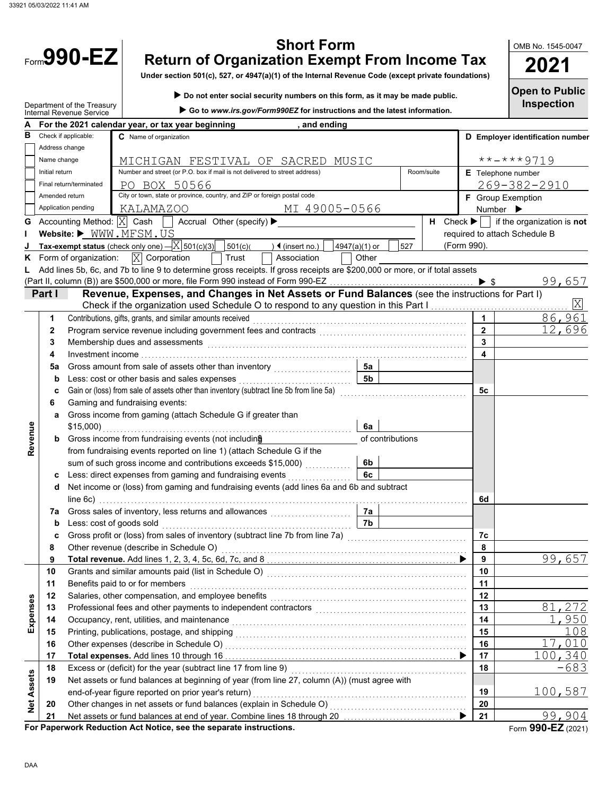|            |                |                                                        | <b>Short Form</b>                                                                                                                                                                                                              |                                 | OMB No. 1545-0047                |
|------------|----------------|--------------------------------------------------------|--------------------------------------------------------------------------------------------------------------------------------------------------------------------------------------------------------------------------------|---------------------------------|----------------------------------|
|            |                | Form990-EZ                                             | <b>Return of Organization Exempt From Income Tax</b><br>Under section 501(c), 527, or 4947(a)(1) of the Internal Revenue Code (except private foundations)                                                                     |                                 | 2021                             |
|            |                |                                                        |                                                                                                                                                                                                                                |                                 | <b>Open to Public</b>            |
|            |                | Department of the Treasury<br>Internal Revenue Service | Do not enter social security numbers on this form, as it may be made public.                                                                                                                                                   |                                 | <b>Inspection</b>                |
|            |                |                                                        | Go to www.irs.gov/Form990EZ for instructions and the latest information.                                                                                                                                                       |                                 |                                  |
| В          |                | Check if applicable:                                   | For the 2021 calendar year, or tax year beginning<br>, and ending<br>C Name of organization                                                                                                                                    |                                 |                                  |
|            | Address change |                                                        |                                                                                                                                                                                                                                |                                 | D Employer identification number |
|            | Name change    |                                                        | MICHIGAN FESTIVAL OF SACRED MUSIC                                                                                                                                                                                              |                                 | $***$ $***$ 9719                 |
|            | Initial return |                                                        | Number and street (or P.O. box if mail is not delivered to street address)<br>Room/suite                                                                                                                                       |                                 | E Telephone number               |
|            |                | Final return/terminated                                | PO BOX 50566                                                                                                                                                                                                                   |                                 | 269-382-2910                     |
|            | Amended return |                                                        | City or town, state or province, country, and ZIP or foreign postal code                                                                                                                                                       |                                 | <b>F</b> Group Exemption         |
|            |                | Application pending                                    | MI 49005-0566<br>KALAMAZOO                                                                                                                                                                                                     | Number $\blacktriangleright$    |                                  |
| G          |                | Accounting Method: $ X $ Cash                          | Accrual Other (specify) $\blacktriangleright$                                                                                                                                                                                  | $H$ Check $\blacktriangleright$ | if the organization is not       |
|            |                |                                                        | Website: $\blacktriangleright$ WWW.MFSM.US                                                                                                                                                                                     | required to attach Schedule B   |                                  |
|            |                |                                                        | Tax-exempt status (check only one) $- X $ 501(c)(3)<br>527<br>501(c)<br>$\sqrt{4}$ (insert no.)<br>4947(a)(1) or                                                                                                               | (Form 990).                     |                                  |
|            |                | K Form of organization:                                | $ X $ Corporation<br>Trust<br>Association<br>Other                                                                                                                                                                             |                                 |                                  |
|            |                |                                                        | Add lines 5b, 6c, and 7b to line 9 to determine gross receipts. If gross receipts are \$200,000 or more, or if total assets                                                                                                    |                                 |                                  |
|            |                |                                                        |                                                                                                                                                                                                                                |                                 | 99,657                           |
|            | Part I         |                                                        | Revenue, Expenses, and Changes in Net Assets or Fund Balances (see the instructions for Part I)                                                                                                                                |                                 |                                  |
|            | 1              |                                                        | Contributions, gifts, grants, and similar amounts received                                                                                                                                                                     | $\mathbf{1}$                    | 86,961                           |
|            | 2              |                                                        |                                                                                                                                                                                                                                | $\overline{2}$                  | 12,696                           |
|            | 3              |                                                        | Membership dues and assessments                                                                                                                                                                                                | $\overline{3}$                  |                                  |
|            | 4              | Investment income                                      |                                                                                                                                                                                                                                | 4                               |                                  |
|            | 5a             |                                                        |                                                                                                                                                                                                                                |                                 |                                  |
|            | b              |                                                        | 5a<br>5 <sub>b</sub><br>Less: cost or other basis and sales expenses                                                                                                                                                           |                                 |                                  |
|            | C              |                                                        | Gain or (loss) from sale of assets other than inventory (subtract line 5b from line 5a)                                                                                                                                        | 5с                              |                                  |
|            | 6              |                                                        | Gaming and fundraising events:                                                                                                                                                                                                 |                                 |                                  |
|            | a              |                                                        | Gross income from gaming (attach Schedule G if greater than                                                                                                                                                                    |                                 |                                  |
|            |                | \$15,000                                               | 6a                                                                                                                                                                                                                             |                                 |                                  |
| Revenue    | b              |                                                        | of contributions<br>Gross income from fundraising events (not including                                                                                                                                                        |                                 |                                  |
|            |                |                                                        | from fundraising events reported on line 1) (attach Schedule G if the                                                                                                                                                          |                                 |                                  |
|            |                |                                                        | sum of such gross income and contributions exceeds \$15,000)<br>6b<br>.                                                                                                                                                        |                                 |                                  |
|            | c              |                                                        | 6c<br>Less: direct expenses from gaming and fundraising events                                                                                                                                                                 |                                 |                                  |
|            | d              | line 6c)                                               | Net income or (loss) from gaming and fundraising events (add lines 6a and 6b and subtract                                                                                                                                      |                                 |                                  |
|            | 7a             |                                                        | <b>7a</b>                                                                                                                                                                                                                      | 6d                              |                                  |
|            | b              | Less: cost of goods sold                               | 7 <sub>b</sub>                                                                                                                                                                                                                 |                                 |                                  |
|            | c              |                                                        | Gross profit or (loss) from sales of inventory (subtract line 7b from line 7a) [[[[[[[[[[[[[[[[[[[[[[[[[[[[[[                                                                                                                  | 7c                              |                                  |
|            | 8              |                                                        | Other revenue (describe in Schedule O)                                                                                                                                                                                         | 8                               |                                  |
|            | 9              |                                                        |                                                                                                                                                                                                                                | 9                               | 99,657                           |
|            | 10             |                                                        |                                                                                                                                                                                                                                | 10                              |                                  |
|            | 11             |                                                        | Benefits paid to or for members                                                                                                                                                                                                | 11                              |                                  |
|            | 12             |                                                        | Salaries, other compensation, and employee benefits [11] content to content the content of the content of the content of the content of the content of the content of the content of the content of the content of the content | 12                              |                                  |
| Expenses   | 13             |                                                        |                                                                                                                                                                                                                                | 13                              | 81,272                           |
|            | 14             |                                                        | Occupancy, rent, utilities, and maintenance material contains and contained a set of the material contains and                                                                                                                 | 14                              | 1,950                            |
|            | 15             |                                                        |                                                                                                                                                                                                                                | 15                              | 108                              |
|            | 16             |                                                        |                                                                                                                                                                                                                                | 16                              | 17,010                           |
|            | 17             |                                                        |                                                                                                                                                                                                                                | 17<br>18                        | 100,340<br>$-683$                |
|            | 18<br>19       |                                                        | Net assets or fund balances at beginning of year (from line 27, column (A)) (must agree with                                                                                                                                   |                                 |                                  |
| Assets     |                |                                                        | end-of-year figure reported on prior year's return)                                                                                                                                                                            | 19                              | 100,587                          |
| <b>Del</b> | 20             |                                                        |                                                                                                                                                                                                                                | 20                              |                                  |
|            | 21             |                                                        |                                                                                                                                                                                                                                | 21                              | 99,904                           |
|            |                |                                                        | For Paperwork Reduction Act Notice, see the separate instructions.                                                                                                                                                             |                                 | Form 990-EZ (2021)               |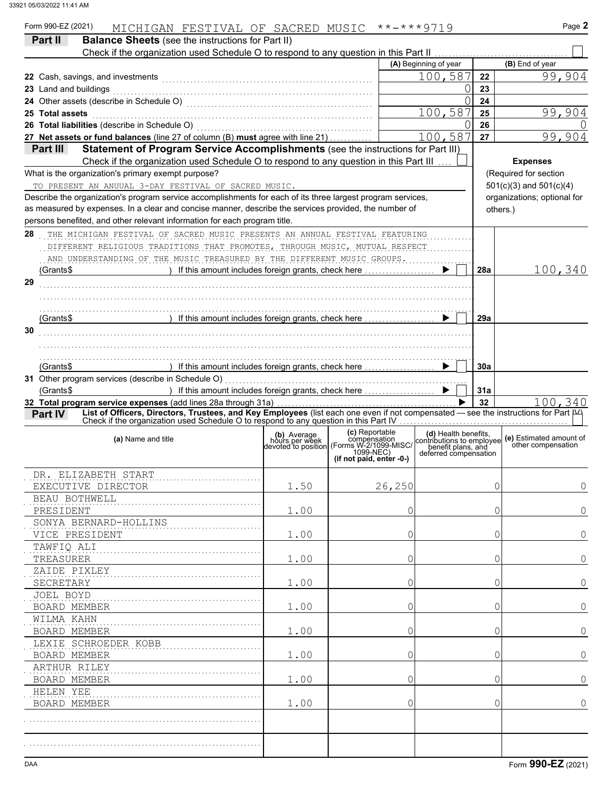33921 05/03/2022 11:41 AM

| Form 990-EZ (2021)<br>MICHIGAN FESTIVAL OF SACRED MUSIC **-***9719                                                                                                                                                      |                                                                                                                     |                          |        |                                                                                                  |          |            | Page 2                          |
|-------------------------------------------------------------------------------------------------------------------------------------------------------------------------------------------------------------------------|---------------------------------------------------------------------------------------------------------------------|--------------------------|--------|--------------------------------------------------------------------------------------------------|----------|------------|---------------------------------|
| Part II<br><b>Balance Sheets</b> (see the instructions for Part II)                                                                                                                                                     |                                                                                                                     |                          |        |                                                                                                  |          |            |                                 |
|                                                                                                                                                                                                                         |                                                                                                                     |                          |        |                                                                                                  |          |            |                                 |
|                                                                                                                                                                                                                         |                                                                                                                     |                          |        | (A) Beginning of year                                                                            |          |            | (B) End of year                 |
| 22 Cash, savings, and investments <b>constructs constructs constructs constructs</b>                                                                                                                                    |                                                                                                                     |                          |        | 100,587                                                                                          |          | 22         | 99,904                          |
| 23 Land and buildings <b>construction and all and analyzing and analyzing and analyzing analyzing analyzing and a</b>                                                                                                   |                                                                                                                     |                          |        |                                                                                                  | 0        | 23         |                                 |
|                                                                                                                                                                                                                         |                                                                                                                     |                          |        |                                                                                                  | $\Omega$ | 24         |                                 |
| 25 Total assets <b>25 Total assets</b>                                                                                                                                                                                  |                                                                                                                     |                          |        | 100,587                                                                                          |          | 25         | 99,904                          |
|                                                                                                                                                                                                                         |                                                                                                                     |                          |        |                                                                                                  | 0        | 26         |                                 |
| 27 Net assets or fund balances (line 27 of column (B) must agree with line 21)                                                                                                                                          |                                                                                                                     |                          |        | 100,587                                                                                          |          | 27         | 99,904                          |
| Statement of Program Service Accomplishments (see the instructions for Part III)<br>Part III                                                                                                                            |                                                                                                                     |                          |        |                                                                                                  |          |            |                                 |
| Check if the organization used Schedule O to respond to any question in this Part III                                                                                                                                   |                                                                                                                     |                          |        |                                                                                                  |          |            | <b>Expenses</b>                 |
| What is the organization's primary exempt purpose?                                                                                                                                                                      |                                                                                                                     |                          |        |                                                                                                  |          |            | (Required for section           |
| TO PRESENT AN ANUUAL 3-DAY FESTIVAL OF SACRED MUSIC.                                                                                                                                                                    |                                                                                                                     |                          |        |                                                                                                  |          |            | $501(c)(3)$ and $501(c)(4)$     |
| Describe the organization's program service accomplishments for each of its three largest program services,                                                                                                             |                                                                                                                     |                          |        |                                                                                                  |          |            | organizations; optional for     |
| as measured by expenses. In a clear and concise manner, describe the services provided, the number of                                                                                                                   |                                                                                                                     |                          |        |                                                                                                  |          |            | others.)                        |
| persons benefited, and other relevant information for each program title.                                                                                                                                               |                                                                                                                     |                          |        |                                                                                                  |          |            |                                 |
| 28<br>THE MICHIGAN FESTIVAL OF SACRED MUSIC PRESENTS AN ANNUAL FESTIVAL FEATURING                                                                                                                                       |                                                                                                                     |                          |        |                                                                                                  |          |            |                                 |
| DIFFERENT RELIGIOUS TRADITIONS THAT PROMOTES, THROUGH MUSIC, MUTUAL RESPECT                                                                                                                                             |                                                                                                                     |                          |        |                                                                                                  |          |            |                                 |
| AND UNDERSTANDING OF THE MUSIC TREASURED BY THE DIFFERENT MUSIC GROUPS.                                                                                                                                                 |                                                                                                                     |                          |        |                                                                                                  |          |            |                                 |
| ) If this amount includes foreign grants, check here<br>(Grants\$                                                                                                                                                       |                                                                                                                     |                          |        |                                                                                                  |          | 28a        | 100, 340                        |
| 29                                                                                                                                                                                                                      |                                                                                                                     |                          |        |                                                                                                  |          |            |                                 |
|                                                                                                                                                                                                                         |                                                                                                                     |                          |        |                                                                                                  |          |            |                                 |
|                                                                                                                                                                                                                         |                                                                                                                     |                          |        |                                                                                                  |          |            |                                 |
| ) If this amount includes foreign grants, check here<br>(Grants\$                                                                                                                                                       |                                                                                                                     |                          |        |                                                                                                  |          | <b>29a</b> |                                 |
| 30                                                                                                                                                                                                                      |                                                                                                                     |                          |        |                                                                                                  |          |            |                                 |
|                                                                                                                                                                                                                         |                                                                                                                     |                          |        |                                                                                                  |          |            |                                 |
|                                                                                                                                                                                                                         |                                                                                                                     |                          |        |                                                                                                  |          |            |                                 |
|                                                                                                                                                                                                                         |                                                                                                                     |                          |        |                                                                                                  |          |            |                                 |
| ) If this amount includes foreign grants, check here<br>(Grants\$                                                                                                                                                       |                                                                                                                     |                          |        |                                                                                                  |          | <b>30a</b> |                                 |
|                                                                                                                                                                                                                         |                                                                                                                     |                          |        |                                                                                                  |          |            |                                 |
| (Grants\$                                                                                                                                                                                                               |                                                                                                                     |                          |        |                                                                                                  |          | 31a        |                                 |
| 32 Total program service expenses (add lines 28a through 31a)                                                                                                                                                           |                                                                                                                     |                          |        |                                                                                                  |          | 32         | 100,340                         |
| Part IV                                                                                                                                                                                                                 |                                                                                                                     |                          |        |                                                                                                  |          |            |                                 |
| List of Officers, Directors, Trustees, and Key Employees (list each one even if not compensated — see the instructions for Part Marcheck if the organization used Schedule O to respond to any question in this Part IV |                                                                                                                     |                          |        |                                                                                                  |          |            |                                 |
| (a) Name and title                                                                                                                                                                                                      |                                                                                                                     |                          |        |                                                                                                  |          |            | (e) Estimated amount of         |
|                                                                                                                                                                                                                         | (b) Average (c) Reportable<br>hours per week compensation<br>devoted to position (Forms W-2/1099-MISC/<br>1099-NEC) |                          |        | (d) Health benefits,<br>contributions to employee<br>benefit plans, and<br>deferred compensation |          |            | other compensation              |
|                                                                                                                                                                                                                         |                                                                                                                     | (if not paid, enter -0-) |        |                                                                                                  |          |            |                                 |
| DR. ELIZABETH START                                                                                                                                                                                                     |                                                                                                                     |                          |        |                                                                                                  |          |            |                                 |
| EXECUTIVE DIRECTOR                                                                                                                                                                                                      | 1.50                                                                                                                |                          | 26,250 |                                                                                                  |          | 0          | $\circ$                         |
| BEAU BOTHWELL                                                                                                                                                                                                           |                                                                                                                     |                          |        |                                                                                                  |          |            |                                 |
| PRESIDENT                                                                                                                                                                                                               | 1.00                                                                                                                |                          | 0      |                                                                                                  |          | 0          |                                 |
| SONYA BERNARD-HOLLINS                                                                                                                                                                                                   |                                                                                                                     |                          |        |                                                                                                  |          |            |                                 |
| VICE PRESIDENT                                                                                                                                                                                                          | 1.00                                                                                                                |                          | 0      |                                                                                                  |          | 0          |                                 |
| TAWFIQ ALI                                                                                                                                                                                                              |                                                                                                                     |                          |        |                                                                                                  |          |            |                                 |
| TREASURER                                                                                                                                                                                                               | 1.00                                                                                                                |                          | 0      |                                                                                                  |          | 0          |                                 |
| ZAIDE PIXLEY                                                                                                                                                                                                            |                                                                                                                     |                          |        |                                                                                                  |          |            |                                 |
| SECRETARY                                                                                                                                                                                                               |                                                                                                                     |                          | 0      |                                                                                                  |          | 0          |                                 |
|                                                                                                                                                                                                                         | 1.00                                                                                                                |                          |        |                                                                                                  |          |            |                                 |
| JOEL BOYD                                                                                                                                                                                                               |                                                                                                                     |                          |        |                                                                                                  |          |            |                                 |
| BOARD MEMBER                                                                                                                                                                                                            | 1.00                                                                                                                |                          | 0      |                                                                                                  |          | 0          |                                 |
| WILMA KAHN                                                                                                                                                                                                              |                                                                                                                     |                          |        |                                                                                                  |          |            |                                 |
| BOARD MEMBER                                                                                                                                                                                                            | 1.00                                                                                                                |                          | 0      |                                                                                                  |          | 0          |                                 |
| LEXIE SCHROEDER KOBB                                                                                                                                                                                                    |                                                                                                                     |                          |        |                                                                                                  |          |            |                                 |
| BOARD MEMBER                                                                                                                                                                                                            | 1.00                                                                                                                |                          | 0      |                                                                                                  |          | 0          |                                 |
| ARTHUR RILEY                                                                                                                                                                                                            |                                                                                                                     |                          |        |                                                                                                  |          |            | 0<br>0<br>0<br>0<br>0<br>0<br>0 |
| BOARD MEMBER                                                                                                                                                                                                            | 1.00                                                                                                                |                          | 0      |                                                                                                  |          | 0          | 0                               |
| HELEN YEE                                                                                                                                                                                                               |                                                                                                                     |                          |        |                                                                                                  |          |            |                                 |
| BOARD MEMBER                                                                                                                                                                                                            | 1.00                                                                                                                |                          | 0      |                                                                                                  |          | 0          | 0                               |
|                                                                                                                                                                                                                         |                                                                                                                     |                          |        |                                                                                                  |          |            |                                 |
|                                                                                                                                                                                                                         |                                                                                                                     |                          |        |                                                                                                  |          |            |                                 |
|                                                                                                                                                                                                                         |                                                                                                                     |                          |        |                                                                                                  |          |            |                                 |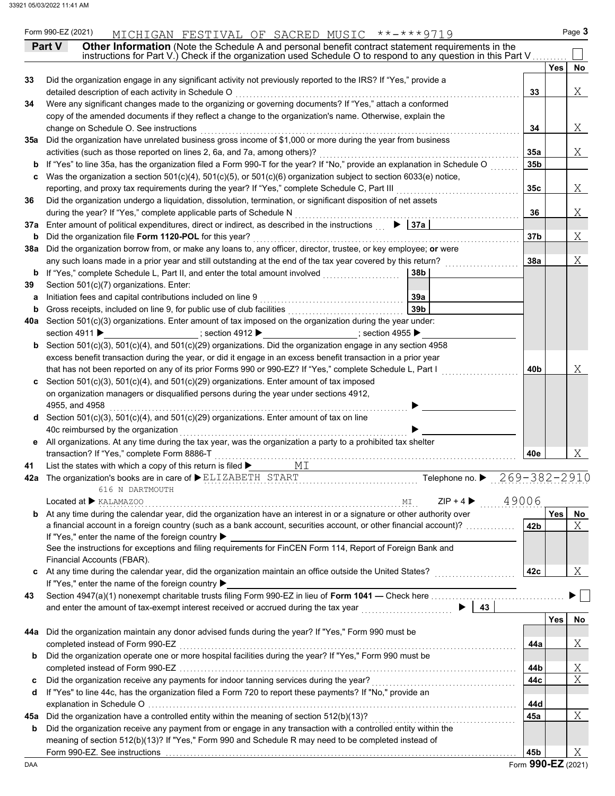|          | Form 990-EZ (2021)<br>MICHIGAN FESTIVAL OF SACRED MUSIC **-***9719                                                                                                                                                             |                 |            | Page 3         |
|----------|--------------------------------------------------------------------------------------------------------------------------------------------------------------------------------------------------------------------------------|-----------------|------------|----------------|
|          | Part V<br>Other Information (Note the Schedule A and personal benefit contract statement requirements in the<br>instructions for Part V.) Check if the organization used Schedule O to respond to any question in this Part V  |                 |            |                |
|          |                                                                                                                                                                                                                                |                 | Yes        | No             |
| 33       | Did the organization engage in any significant activity not previously reported to the IRS? If "Yes," provide a                                                                                                                |                 |            |                |
|          | detailed description of each activity in Schedule O<br>Were any significant changes made to the organizing or governing documents? If "Yes," attach a conformed                                                                | 33              |            | Χ              |
| 34       | copy of the amended documents if they reflect a change to the organization's name. Otherwise, explain the                                                                                                                      |                 |            |                |
|          | change on Schedule O. See instructions                                                                                                                                                                                         | 34              |            | Χ              |
| 35а      | Did the organization have unrelated business gross income of \$1,000 or more during the year from business                                                                                                                     |                 |            |                |
|          | activities (such as those reported on lines 2, 6a, and 7a, among others)?                                                                                                                                                      | 35a             |            | Χ              |
|          | If "Yes" to line 35a, has the organization filed a Form 990-T for the year? If "No," provide an explanation in Schedule O                                                                                                      | 35b             |            |                |
| c        | Was the organization a section $501(c)(4)$ , $501(c)(5)$ , or $501(c)(6)$ organization subject to section $6033(e)$ notice,                                                                                                    |                 |            |                |
|          | reporting, and proxy tax requirements during the year? If "Yes," complete Schedule C, Part III                                                                                                                                 | 35c             |            | Χ              |
| 36       | Did the organization undergo a liquidation, dissolution, termination, or significant disposition of net assets                                                                                                                 |                 |            |                |
|          | during the year? If "Yes," complete applicable parts of Schedule N                                                                                                                                                             | 36              |            | X              |
|          | 37a <br>37a Enter amount of political expenditures, direct or indirect, as described in the instructions                                                                                                                       |                 |            |                |
| b        | Did the organization file Form 1120-POL for this year?                                                                                                                                                                         | 37 <sub>b</sub> |            | X              |
| 38a      | Did the organization borrow from, or make any loans to, any officer, director, trustee, or key employee; or were                                                                                                               |                 |            |                |
|          | any such loans made in a prior year and still outstanding at the end of the tax year covered by this return?                                                                                                                   | 38a             |            | Χ              |
| b        | If "Yes," complete Schedule L, Part II, and enter the total amount involved [[[[[[[[[[[[[[[[[[[[[[[[[[[[[[[[[<br>38b                                                                                                           |                 |            |                |
| 39       | Section 501(c)(7) organizations. Enter:                                                                                                                                                                                        |                 |            |                |
| a        | Initiation fees and capital contributions included on line 9<br>39a                                                                                                                                                            |                 |            |                |
| b        | 39 <sub>b</sub>                                                                                                                                                                                                                |                 |            |                |
| 40a      | Section 501(c)(3) organizations. Enter amount of tax imposed on the organization during the year under:                                                                                                                        |                 |            |                |
|          | section 4911 $\blacktriangleright$<br>; section 4912 ▶ _________________; section 4955 ▶<br><b>b</b> Section $501(c)(3)$ , $501(c)(4)$ , and $501(c)(29)$ organizations. Did the organization engage in any section 4958       |                 |            |                |
|          | excess benefit transaction during the year, or did it engage in an excess benefit transaction in a prior year                                                                                                                  |                 |            |                |
|          | that has not been reported on any of its prior Forms 990 or 990-EZ? If "Yes," complete Schedule L, Part I                                                                                                                      | 40b             |            | Χ              |
| c        | Section 501(c)(3), 501(c)(4), and 501(c)(29) organizations. Enter amount of tax imposed                                                                                                                                        |                 |            |                |
|          | on organization managers or disqualified persons during the year under sections 4912,                                                                                                                                          |                 |            |                |
|          | 4955, and 4958                                                                                                                                                                                                                 |                 |            |                |
|          | d Section 501(c)(3), 501(c)(4), and 501(c)(29) organizations. Enter amount of tax on line                                                                                                                                      |                 |            |                |
|          | 40c reimbursed by the organization                                                                                                                                                                                             |                 |            |                |
| е        | All organizations. At any time during the tax year, was the organization a party to a prohibited tax shelter                                                                                                                   |                 |            |                |
|          | transaction? If "Yes," complete Form 8886-T                                                                                                                                                                                    | 40e             |            | Χ              |
| 41       | List the states with which a copy of this return is filed $\blacktriangleright$<br>МI                                                                                                                                          |                 |            |                |
|          | <u>269-382-2910</u><br>42a The organization's books are in care of ELIZABETH START<br>Telephone no. ▶                                                                                                                          |                 |            |                |
|          | 616 N DARTMOUTH                                                                                                                                                                                                                |                 |            |                |
|          | 49006<br>$ZIP + 4$<br>Located at KALAMAZOO<br>МI                                                                                                                                                                               |                 |            |                |
| b        | At any time during the calendar year, did the organization have an interest in or a signature or other authority over                                                                                                          |                 | <b>Yes</b> | No             |
|          | a financial account in a foreign country (such as a bank account, securities account, or other financial account)?<br>If "Yes," enter the name of the foreign country ▶                                                        | 42b             |            | Χ              |
|          | See the instructions for exceptions and filing requirements for FinCEN Form 114, Report of Foreign Bank and                                                                                                                    |                 |            |                |
|          | Financial Accounts (FBAR).                                                                                                                                                                                                     |                 |            |                |
|          | At any time during the calendar year, did the organization maintain an office outside the United States?                                                                                                                       | 42c             |            | Χ              |
|          | If "Yes," enter the name of the foreign country ▶                                                                                                                                                                              |                 |            |                |
| 43       |                                                                                                                                                                                                                                |                 |            |                |
|          | 43                                                                                                                                                                                                                             |                 |            |                |
|          |                                                                                                                                                                                                                                |                 | <b>Yes</b> | No             |
| 44a      | Did the organization maintain any donor advised funds during the year? If "Yes," Form 990 must be                                                                                                                              |                 |            |                |
|          | completed instead of Form 990-EZ                                                                                                                                                                                               | 44a             |            | Χ              |
| b        | Did the organization operate one or more hospital facilities during the year? If "Yes," Form 990 must be                                                                                                                       |                 |            |                |
|          |                                                                                                                                                                                                                                | 44b             |            | $\mathbf X$    |
| c        |                                                                                                                                                                                                                                | 44c             |            | $\overline{X}$ |
| d        | If "Yes" to line 44c, has the organization filed a Form 720 to report these payments? If "No," provide an                                                                                                                      |                 |            |                |
|          |                                                                                                                                                                                                                                | 44d             |            | X              |
| 45а<br>b | Did the organization have a controlled entity within the meaning of section 512(b)(13)?<br>Did the organization receive any payment from or engage in any transaction with a controlled entity within the                      | 45a             |            |                |
|          | meaning of section 512(b)(13)? If "Yes," Form 990 and Schedule R may need to be completed instead of                                                                                                                           |                 |            |                |
|          | Form 990-EZ. See instructions (and according to the control of the control of the control of the control of the control of the control of the control of the control of the control of the control of the control of the contr | 45 <sub>b</sub> |            | Χ              |
|          |                                                                                                                                                                                                                                |                 |            |                |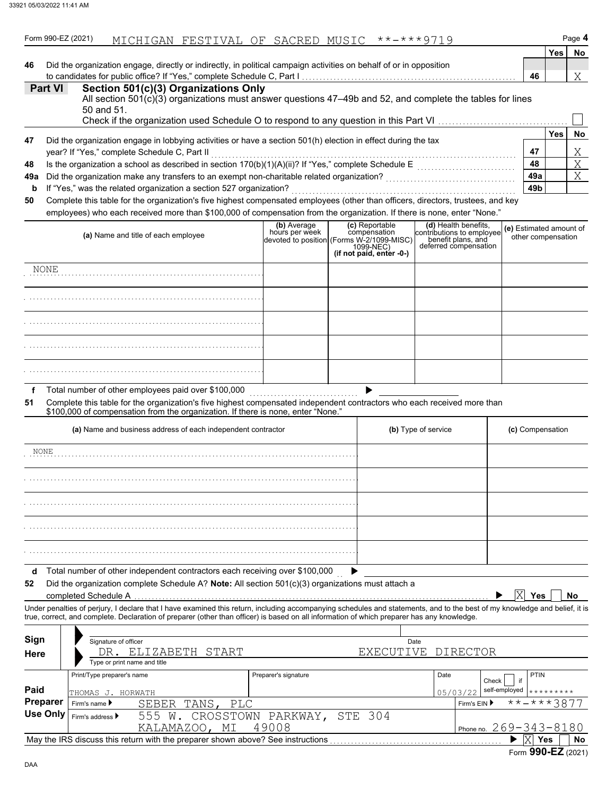|                 | Form 990-EZ (2021)                                                                                                                                   |                  |                                     |           |                                                     |                                                                    | MICHIGAN FESTIVAL OF SACRED MUSIC                                                                                                                                                                                                                                                                                        |            |                                          | **-***9719          |                                                                          |                                               |            | Page 4            |
|-----------------|------------------------------------------------------------------------------------------------------------------------------------------------------|------------------|-------------------------------------|-----------|-----------------------------------------------------|--------------------------------------------------------------------|--------------------------------------------------------------------------------------------------------------------------------------------------------------------------------------------------------------------------------------------------------------------------------------------------------------------------|------------|------------------------------------------|---------------------|--------------------------------------------------------------------------|-----------------------------------------------|------------|-------------------|
| 46              |                                                                                                                                                      |                  |                                     |           |                                                     |                                                                    | Did the organization engage, directly or indirectly, in political campaign activities on behalf of or in opposition                                                                                                                                                                                                      |            |                                          |                     |                                                                          |                                               | <b>Yes</b> | No                |
|                 |                                                                                                                                                      |                  |                                     |           |                                                     |                                                                    |                                                                                                                                                                                                                                                                                                                          |            |                                          |                     |                                                                          | 46                                            |            | Χ                 |
|                 | <b>Part VI</b>                                                                                                                                       |                  |                                     |           |                                                     | Section 501(c)(3) Organizations Only                               |                                                                                                                                                                                                                                                                                                                          |            |                                          |                     |                                                                          |                                               |            |                   |
|                 |                                                                                                                                                      |                  |                                     |           |                                                     |                                                                    | All section $501(c)(3)$ organizations must answer questions 47–49b and 52, and complete the tables for lines                                                                                                                                                                                                             |            |                                          |                     |                                                                          |                                               |            |                   |
|                 |                                                                                                                                                      | 50 and 51.       |                                     |           |                                                     |                                                                    | Check if the organization used Schedule O to respond to any question in this Part VI                                                                                                                                                                                                                                     |            |                                          |                     |                                                                          |                                               |            |                   |
|                 |                                                                                                                                                      |                  |                                     |           |                                                     |                                                                    |                                                                                                                                                                                                                                                                                                                          |            |                                          |                     |                                                                          |                                               | Yes        | No                |
| 47              |                                                                                                                                                      |                  |                                     |           |                                                     |                                                                    | Did the organization engage in lobbying activities or have a section 501(h) election in effect during the tax                                                                                                                                                                                                            |            |                                          |                     |                                                                          |                                               |            |                   |
|                 | year? If "Yes," complete Schedule C, Part II<br>Is the organization a school as described in section 170(b)(1)(A)(ii)? If "Yes," complete Schedule E |                  |                                     |           |                                                     |                                                                    | 47                                                                                                                                                                                                                                                                                                                       |            | Χ                                        |                     |                                                                          |                                               |            |                   |
| 48              |                                                                                                                                                      |                  |                                     |           |                                                     |                                                                    |                                                                                                                                                                                                                                                                                                                          |            |                                          |                     |                                                                          | 48                                            |            | X                 |
| 49a             |                                                                                                                                                      |                  |                                     |           |                                                     |                                                                    |                                                                                                                                                                                                                                                                                                                          |            |                                          |                     |                                                                          | 49a                                           |            | $X_{\mathcal{L}}$ |
| b               |                                                                                                                                                      |                  |                                     |           |                                                     | If "Yes," was the related organization a section 527 organization? | Complete this table for the organization's five highest compensated employees (other than officers, directors, trustees, and key                                                                                                                                                                                         |            |                                          |                     |                                                                          | 49b                                           |            |                   |
| 50              |                                                                                                                                                      |                  |                                     |           |                                                     |                                                                    | employees) who each received more than \$100,000 of compensation from the organization. If there is none, enter "None."                                                                                                                                                                                                  |            |                                          |                     |                                                                          |                                               |            |                   |
|                 |                                                                                                                                                      |                  |                                     |           |                                                     |                                                                    | (b) Average                                                                                                                                                                                                                                                                                                              |            | (c) Reportable                           |                     | (d) Health benefits,                                                     |                                               |            |                   |
|                 |                                                                                                                                                      |                  | (a) Name and title of each employee |           |                                                     |                                                                    | hours per week<br>devoted to position (Forms W-2/1099-MISC)                                                                                                                                                                                                                                                              |            | compensation<br>(if not paid, enter -0-) |                     | contributions to employee<br>benefit plans, and<br>deferred compensation | (e) Estimated amount of<br>other compensation |            |                   |
| NONE            |                                                                                                                                                      |                  |                                     |           |                                                     |                                                                    |                                                                                                                                                                                                                                                                                                                          |            |                                          |                     |                                                                          |                                               |            |                   |
|                 |                                                                                                                                                      |                  |                                     |           |                                                     |                                                                    |                                                                                                                                                                                                                                                                                                                          |            |                                          |                     |                                                                          |                                               |            |                   |
|                 |                                                                                                                                                      |                  |                                     |           |                                                     |                                                                    |                                                                                                                                                                                                                                                                                                                          |            |                                          |                     |                                                                          |                                               |            |                   |
|                 |                                                                                                                                                      |                  |                                     |           |                                                     |                                                                    |                                                                                                                                                                                                                                                                                                                          |            |                                          |                     |                                                                          |                                               |            |                   |
|                 |                                                                                                                                                      |                  |                                     |           |                                                     |                                                                    |                                                                                                                                                                                                                                                                                                                          |            |                                          |                     |                                                                          |                                               |            |                   |
| f               |                                                                                                                                                      |                  |                                     |           | Total number of other employees paid over \$100,000 |                                                                    |                                                                                                                                                                                                                                                                                                                          |            |                                          |                     |                                                                          |                                               |            |                   |
| 51              |                                                                                                                                                      |                  |                                     |           |                                                     |                                                                    | Complete this table for the organization's five highest compensated independent contractors who each received more than                                                                                                                                                                                                  |            |                                          |                     |                                                                          |                                               |            |                   |
|                 |                                                                                                                                                      |                  |                                     |           |                                                     |                                                                    | \$100,000 of compensation from the organization. If there is none, enter "None."                                                                                                                                                                                                                                         |            |                                          |                     |                                                                          |                                               |            |                   |
|                 |                                                                                                                                                      |                  |                                     |           |                                                     | (a) Name and business address of each independent contractor       |                                                                                                                                                                                                                                                                                                                          |            |                                          | (b) Type of service |                                                                          | (c) Compensation                              |            |                   |
| NONE            |                                                                                                                                                      |                  |                                     |           |                                                     |                                                                    |                                                                                                                                                                                                                                                                                                                          |            |                                          |                     |                                                                          |                                               |            |                   |
|                 |                                                                                                                                                      |                  |                                     |           |                                                     |                                                                    |                                                                                                                                                                                                                                                                                                                          |            |                                          |                     |                                                                          |                                               |            |                   |
|                 |                                                                                                                                                      |                  |                                     |           |                                                     |                                                                    |                                                                                                                                                                                                                                                                                                                          |            |                                          |                     |                                                                          |                                               |            |                   |
|                 |                                                                                                                                                      |                  |                                     |           |                                                     |                                                                    |                                                                                                                                                                                                                                                                                                                          |            |                                          |                     |                                                                          |                                               |            |                   |
|                 |                                                                                                                                                      |                  |                                     |           |                                                     |                                                                    |                                                                                                                                                                                                                                                                                                                          |            |                                          |                     |                                                                          |                                               |            |                   |
| d               |                                                                                                                                                      |                  |                                     |           |                                                     |                                                                    | Total number of other independent contractors each receiving over \$100,000                                                                                                                                                                                                                                              |            |                                          |                     |                                                                          |                                               |            |                   |
| 52              |                                                                                                                                                      |                  |                                     |           |                                                     |                                                                    | Did the organization complete Schedule A? Note: All section $501(c)(3)$ organizations must attach a                                                                                                                                                                                                                      |            |                                          |                     |                                                                          |                                               |            |                   |
|                 | completed Schedule A                                                                                                                                 |                  |                                     |           |                                                     |                                                                    |                                                                                                                                                                                                                                                                                                                          |            |                                          |                     |                                                                          | Χ<br>Yes                                      |            | No.               |
|                 |                                                                                                                                                      |                  |                                     |           |                                                     |                                                                    | Under penalties of perjury, I declare that I have examined this return, including accompanying schedules and statements, and to the best of my knowledge and belief, it is<br>true, correct, and complete. Declaration of preparer (other than officer) is based on all information of which preparer has any knowledge. |            |                                          |                     |                                                                          |                                               |            |                   |
| Sign            |                                                                                                                                                      |                  |                                     |           |                                                     |                                                                    |                                                                                                                                                                                                                                                                                                                          |            |                                          |                     |                                                                          |                                               |            |                   |
| Here            |                                                                                                                                                      |                  | Signature of officer<br>DR.         |           | ELIZABETH START                                     |                                                                    |                                                                                                                                                                                                                                                                                                                          |            | EXECUTIVE                                | Date                | <b>DIRECTOR</b>                                                          |                                               |            |                   |
|                 |                                                                                                                                                      |                  | Type or print name and title        |           |                                                     |                                                                    |                                                                                                                                                                                                                                                                                                                          |            |                                          |                     |                                                                          |                                               |            |                   |
|                 |                                                                                                                                                      |                  | Print/Type preparer's name          |           |                                                     |                                                                    | Preparer's signature                                                                                                                                                                                                                                                                                                     |            |                                          | Date                | Check                                                                    | PTIN<br>if                                    |            |                   |
| Paid            |                                                                                                                                                      |                  | THOMAS J. HORWATH                   |           |                                                     |                                                                    |                                                                                                                                                                                                                                                                                                                          |            |                                          |                     | 05/03/22                                                                 | self-employed                                 | *********  |                   |
| Preparer        |                                                                                                                                                      | Firm's name ▶    |                                     | SEBER     | TANS,                                               | <b>PLC</b>                                                         |                                                                                                                                                                                                                                                                                                                          |            |                                          |                     | Firm's EIN ▶                                                             | **-***38                                      |            |                   |
| <b>Use Only</b> |                                                                                                                                                      | Firm's address ▶ |                                     | 555<br>W. |                                                     |                                                                    | CROSSTOWN PARKWAY,                                                                                                                                                                                                                                                                                                       | <b>STE</b> | 304                                      |                     |                                                                          |                                               |            |                   |
|                 |                                                                                                                                                      |                  |                                     |           | KALAMAZOO, MI                                       |                                                                    | 49008                                                                                                                                                                                                                                                                                                                    |            |                                          |                     |                                                                          | Phone no. 269-343-8180                        |            |                   |
|                 |                                                                                                                                                      |                  |                                     |           |                                                     |                                                                    | May the IRS discuss this return with the preparer shown above? See instructions                                                                                                                                                                                                                                          |            |                                          |                     |                                                                          | $\blacktriangleright$ $ X $ Yes               |            | No.               |
|                 |                                                                                                                                                      |                  |                                     |           |                                                     |                                                                    |                                                                                                                                                                                                                                                                                                                          |            |                                          |                     |                                                                          | Form 990-EZ (2021)                            |            |                   |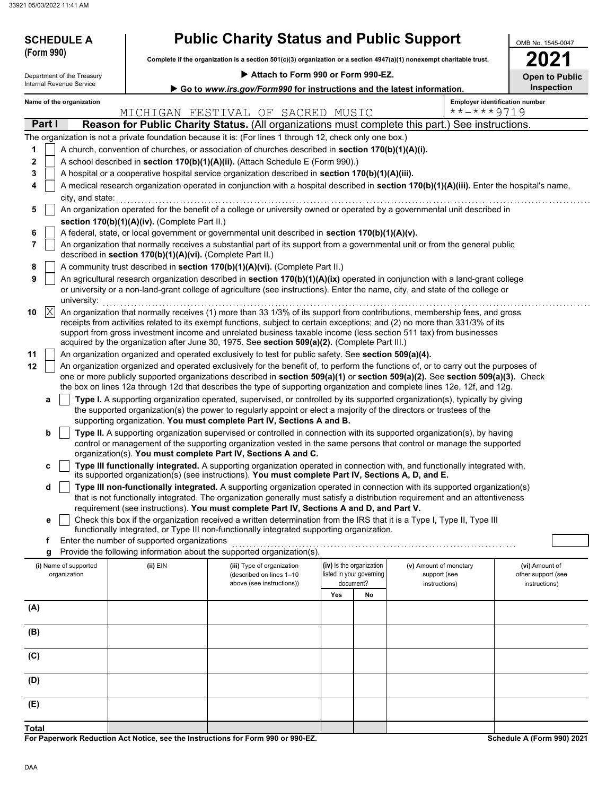| <b>Public Charity Status and Public Support</b><br>OMB No. 1545-0047<br>(Form 990)<br>2021<br>Complete if the organization is a section 501(c)(3) organization or a section 4947(a)(1) nonexempt charitable trust.<br>Attach to Form 990 or Form 990-EZ.<br>Department of the Treasury<br><b>Open to Public</b><br>Internal Revenue Service<br>Inspection<br>Go to www.irs.gov/Form990 for instructions and the latest information.<br><b>Employer identification number</b><br>Name of the organization<br>$******9719$<br>MICHIGAN FESTIVAL OF SACRED MUSIC<br>Part I<br>Reason for Public Charity Status. (All organizations must complete this part.) See instructions.<br>The organization is not a private foundation because it is: (For lines 1 through 12, check only one box.)<br>A church, convention of churches, or association of churches described in section 170(b)(1)(A)(i).<br>1<br>2<br>A school described in section 170(b)(1)(A)(ii). (Attach Schedule E (Form 990).)<br>3<br>A hospital or a cooperative hospital service organization described in section 170(b)(1)(A)(iii).<br>A medical research organization operated in conjunction with a hospital described in section 170(b)(1)(A)(iii). Enter the hospital's name,<br>4<br>city, and state:<br>An organization operated for the benefit of a college or university owned or operated by a governmental unit described in<br>5<br>section 170(b)(1)(A)(iv). (Complete Part II.)<br>A federal, state, or local government or governmental unit described in section 170(b)(1)(A)(v).<br>6<br>7<br>An organization that normally receives a substantial part of its support from a governmental unit or from the general public<br>described in section 170(b)(1)(A)(vi). (Complete Part II.)<br>A community trust described in section 170(b)(1)(A)(vi). (Complete Part II.)<br>8<br>9<br>An agricultural research organization described in section 170(b)(1)(A)(ix) operated in conjunction with a land-grant college<br>or university or a non-land-grant college of agriculture (see instructions). Enter the name, city, and state of the college or<br>university:<br> X <br>An organization that normally receives (1) more than 33 1/3% of its support from contributions, membership fees, and gross<br>10<br>receipts from activities related to its exempt functions, subject to certain exceptions; and (2) no more than 331/3% of its<br>support from gross investment income and unrelated business taxable income (less section 511 tax) from businesses<br>acquired by the organization after June 30, 1975. See section 509(a)(2). (Complete Part III.)<br>11<br>An organization organized and operated exclusively to test for public safety. See section 509(a)(4).<br>12<br>An organization organized and operated exclusively for the benefit of, to perform the functions of, or to carry out the purposes of<br>one or more publicly supported organizations described in section 509(a)(1) or section 509(a)(2). See section 509(a)(3). Check<br>the box on lines 12a through 12d that describes the type of supporting organization and complete lines 12e, 12f, and 12g.<br>Type I. A supporting organization operated, supervised, or controlled by its supported organization(s), typically by giving<br>a<br>the supported organization(s) the power to regularly appoint or elect a majority of the directors or trustees of the<br>supporting organization. You must complete Part IV, Sections A and B.<br>Type II. A supporting organization supervised or controlled in connection with its supported organization(s), by having<br>b<br>control or management of the supporting organization vested in the same persons that control or manage the supported<br>organization(s). You must complete Part IV, Sections A and C.<br>Type III functionally integrated. A supporting organization operated in connection with, and functionally integrated with,<br>c<br>its supported organization(s) (see instructions). You must complete Part IV, Sections A, D, and E.<br>Type III non-functionally integrated. A supporting organization operated in connection with its supported organization(s)<br>d<br>that is not functionally integrated. The organization generally must satisfy a distribution requirement and an attentiveness<br>requirement (see instructions). You must complete Part IV, Sections A and D, and Part V.<br>Check this box if the organization received a written determination from the IRS that it is a Type I, Type II, Type III<br>е<br>functionally integrated, or Type III non-functionally integrated supporting organization.<br>Enter the number of supported organizations<br>f<br>Provide the following information about the supported organization(s).<br>g |
|------------------------------------------------------------------------------------------------------------------------------------------------------------------------------------------------------------------------------------------------------------------------------------------------------------------------------------------------------------------------------------------------------------------------------------------------------------------------------------------------------------------------------------------------------------------------------------------------------------------------------------------------------------------------------------------------------------------------------------------------------------------------------------------------------------------------------------------------------------------------------------------------------------------------------------------------------------------------------------------------------------------------------------------------------------------------------------------------------------------------------------------------------------------------------------------------------------------------------------------------------------------------------------------------------------------------------------------------------------------------------------------------------------------------------------------------------------------------------------------------------------------------------------------------------------------------------------------------------------------------------------------------------------------------------------------------------------------------------------------------------------------------------------------------------------------------------------------------------------------------------------------------------------------------------------------------------------------------------------------------------------------------------------------------------------------------------------------------------------------------------------------------------------------------------------------------------------------------------------------------------------------------------------------------------------------------------------------------------------------------------------------------------------------------------------------------------------------------------------------------------------------------------------------------------------------------------------------------------------------------------------------------------------------------------------------------------------------------------------------------------------------------------------------------------------------------------------------------------------------------------------------------------------------------------------------------------------------------------------------------------------------------------------------------------------------------------------------------------------------------------------------------------------------------------------------------------------------------------------------------------------------------------------------------------------------------------------------------------------------------------------------------------------------------------------------------------------------------------------------------------------------------------------------------------------------------------------------------------------------------------------------------------------------------------------------------------------------------------------------------------------------------------------------------------------------------------------------------------------------------------------------------------------------------------------------------------------------------------------------------------------------------------------------------------------------------------------------------------------------------------------------------------------------------------------------------------------------------------------------------------------------------------------------------------------------------------------------------------------------------------------------------------------------------------------------------------------------------------------------------------------------------------------------------------------------------------------------------------------------------------------------------------------------------------------------------------------------------------------------------------------------------------------------------------------------------|
|                                                                                                                                                                                                                                                                                                                                                                                                                                                                                                                                                                                                                                                                                                                                                                                                                                                                                                                                                                                                                                                                                                                                                                                                                                                                                                                                                                                                                                                                                                                                                                                                                                                                                                                                                                                                                                                                                                                                                                                                                                                                                                                                                                                                                                                                                                                                                                                                                                                                                                                                                                                                                                                                                                                                                                                                                                                                                                                                                                                                                                                                                                                                                                                                                                                                                                                                                                                                                                                                                                                                                                                                                                                                                                                                                                                                                                                                                                                                                                                                                                                                                                                                                                                                                                                                                                                                                                                                                                                                                                                                                                                                                                                                                                                                                                                                                        |
|                                                                                                                                                                                                                                                                                                                                                                                                                                                                                                                                                                                                                                                                                                                                                                                                                                                                                                                                                                                                                                                                                                                                                                                                                                                                                                                                                                                                                                                                                                                                                                                                                                                                                                                                                                                                                                                                                                                                                                                                                                                                                                                                                                                                                                                                                                                                                                                                                                                                                                                                                                                                                                                                                                                                                                                                                                                                                                                                                                                                                                                                                                                                                                                                                                                                                                                                                                                                                                                                                                                                                                                                                                                                                                                                                                                                                                                                                                                                                                                                                                                                                                                                                                                                                                                                                                                                                                                                                                                                                                                                                                                                                                                                                                                                                                                                                        |
|                                                                                                                                                                                                                                                                                                                                                                                                                                                                                                                                                                                                                                                                                                                                                                                                                                                                                                                                                                                                                                                                                                                                                                                                                                                                                                                                                                                                                                                                                                                                                                                                                                                                                                                                                                                                                                                                                                                                                                                                                                                                                                                                                                                                                                                                                                                                                                                                                                                                                                                                                                                                                                                                                                                                                                                                                                                                                                                                                                                                                                                                                                                                                                                                                                                                                                                                                                                                                                                                                                                                                                                                                                                                                                                                                                                                                                                                                                                                                                                                                                                                                                                                                                                                                                                                                                                                                                                                                                                                                                                                                                                                                                                                                                                                                                                                                        |
|                                                                                                                                                                                                                                                                                                                                                                                                                                                                                                                                                                                                                                                                                                                                                                                                                                                                                                                                                                                                                                                                                                                                                                                                                                                                                                                                                                                                                                                                                                                                                                                                                                                                                                                                                                                                                                                                                                                                                                                                                                                                                                                                                                                                                                                                                                                                                                                                                                                                                                                                                                                                                                                                                                                                                                                                                                                                                                                                                                                                                                                                                                                                                                                                                                                                                                                                                                                                                                                                                                                                                                                                                                                                                                                                                                                                                                                                                                                                                                                                                                                                                                                                                                                                                                                                                                                                                                                                                                                                                                                                                                                                                                                                                                                                                                                                                        |
|                                                                                                                                                                                                                                                                                                                                                                                                                                                                                                                                                                                                                                                                                                                                                                                                                                                                                                                                                                                                                                                                                                                                                                                                                                                                                                                                                                                                                                                                                                                                                                                                                                                                                                                                                                                                                                                                                                                                                                                                                                                                                                                                                                                                                                                                                                                                                                                                                                                                                                                                                                                                                                                                                                                                                                                                                                                                                                                                                                                                                                                                                                                                                                                                                                                                                                                                                                                                                                                                                                                                                                                                                                                                                                                                                                                                                                                                                                                                                                                                                                                                                                                                                                                                                                                                                                                                                                                                                                                                                                                                                                                                                                                                                                                                                                                                                        |
|                                                                                                                                                                                                                                                                                                                                                                                                                                                                                                                                                                                                                                                                                                                                                                                                                                                                                                                                                                                                                                                                                                                                                                                                                                                                                                                                                                                                                                                                                                                                                                                                                                                                                                                                                                                                                                                                                                                                                                                                                                                                                                                                                                                                                                                                                                                                                                                                                                                                                                                                                                                                                                                                                                                                                                                                                                                                                                                                                                                                                                                                                                                                                                                                                                                                                                                                                                                                                                                                                                                                                                                                                                                                                                                                                                                                                                                                                                                                                                                                                                                                                                                                                                                                                                                                                                                                                                                                                                                                                                                                                                                                                                                                                                                                                                                                                        |
|                                                                                                                                                                                                                                                                                                                                                                                                                                                                                                                                                                                                                                                                                                                                                                                                                                                                                                                                                                                                                                                                                                                                                                                                                                                                                                                                                                                                                                                                                                                                                                                                                                                                                                                                                                                                                                                                                                                                                                                                                                                                                                                                                                                                                                                                                                                                                                                                                                                                                                                                                                                                                                                                                                                                                                                                                                                                                                                                                                                                                                                                                                                                                                                                                                                                                                                                                                                                                                                                                                                                                                                                                                                                                                                                                                                                                                                                                                                                                                                                                                                                                                                                                                                                                                                                                                                                                                                                                                                                                                                                                                                                                                                                                                                                                                                                                        |
|                                                                                                                                                                                                                                                                                                                                                                                                                                                                                                                                                                                                                                                                                                                                                                                                                                                                                                                                                                                                                                                                                                                                                                                                                                                                                                                                                                                                                                                                                                                                                                                                                                                                                                                                                                                                                                                                                                                                                                                                                                                                                                                                                                                                                                                                                                                                                                                                                                                                                                                                                                                                                                                                                                                                                                                                                                                                                                                                                                                                                                                                                                                                                                                                                                                                                                                                                                                                                                                                                                                                                                                                                                                                                                                                                                                                                                                                                                                                                                                                                                                                                                                                                                                                                                                                                                                                                                                                                                                                                                                                                                                                                                                                                                                                                                                                                        |
|                                                                                                                                                                                                                                                                                                                                                                                                                                                                                                                                                                                                                                                                                                                                                                                                                                                                                                                                                                                                                                                                                                                                                                                                                                                                                                                                                                                                                                                                                                                                                                                                                                                                                                                                                                                                                                                                                                                                                                                                                                                                                                                                                                                                                                                                                                                                                                                                                                                                                                                                                                                                                                                                                                                                                                                                                                                                                                                                                                                                                                                                                                                                                                                                                                                                                                                                                                                                                                                                                                                                                                                                                                                                                                                                                                                                                                                                                                                                                                                                                                                                                                                                                                                                                                                                                                                                                                                                                                                                                                                                                                                                                                                                                                                                                                                                                        |
|                                                                                                                                                                                                                                                                                                                                                                                                                                                                                                                                                                                                                                                                                                                                                                                                                                                                                                                                                                                                                                                                                                                                                                                                                                                                                                                                                                                                                                                                                                                                                                                                                                                                                                                                                                                                                                                                                                                                                                                                                                                                                                                                                                                                                                                                                                                                                                                                                                                                                                                                                                                                                                                                                                                                                                                                                                                                                                                                                                                                                                                                                                                                                                                                                                                                                                                                                                                                                                                                                                                                                                                                                                                                                                                                                                                                                                                                                                                                                                                                                                                                                                                                                                                                                                                                                                                                                                                                                                                                                                                                                                                                                                                                                                                                                                                                                        |
|                                                                                                                                                                                                                                                                                                                                                                                                                                                                                                                                                                                                                                                                                                                                                                                                                                                                                                                                                                                                                                                                                                                                                                                                                                                                                                                                                                                                                                                                                                                                                                                                                                                                                                                                                                                                                                                                                                                                                                                                                                                                                                                                                                                                                                                                                                                                                                                                                                                                                                                                                                                                                                                                                                                                                                                                                                                                                                                                                                                                                                                                                                                                                                                                                                                                                                                                                                                                                                                                                                                                                                                                                                                                                                                                                                                                                                                                                                                                                                                                                                                                                                                                                                                                                                                                                                                                                                                                                                                                                                                                                                                                                                                                                                                                                                                                                        |
|                                                                                                                                                                                                                                                                                                                                                                                                                                                                                                                                                                                                                                                                                                                                                                                                                                                                                                                                                                                                                                                                                                                                                                                                                                                                                                                                                                                                                                                                                                                                                                                                                                                                                                                                                                                                                                                                                                                                                                                                                                                                                                                                                                                                                                                                                                                                                                                                                                                                                                                                                                                                                                                                                                                                                                                                                                                                                                                                                                                                                                                                                                                                                                                                                                                                                                                                                                                                                                                                                                                                                                                                                                                                                                                                                                                                                                                                                                                                                                                                                                                                                                                                                                                                                                                                                                                                                                                                                                                                                                                                                                                                                                                                                                                                                                                                                        |
|                                                                                                                                                                                                                                                                                                                                                                                                                                                                                                                                                                                                                                                                                                                                                                                                                                                                                                                                                                                                                                                                                                                                                                                                                                                                                                                                                                                                                                                                                                                                                                                                                                                                                                                                                                                                                                                                                                                                                                                                                                                                                                                                                                                                                                                                                                                                                                                                                                                                                                                                                                                                                                                                                                                                                                                                                                                                                                                                                                                                                                                                                                                                                                                                                                                                                                                                                                                                                                                                                                                                                                                                                                                                                                                                                                                                                                                                                                                                                                                                                                                                                                                                                                                                                                                                                                                                                                                                                                                                                                                                                                                                                                                                                                                                                                                                                        |
|                                                                                                                                                                                                                                                                                                                                                                                                                                                                                                                                                                                                                                                                                                                                                                                                                                                                                                                                                                                                                                                                                                                                                                                                                                                                                                                                                                                                                                                                                                                                                                                                                                                                                                                                                                                                                                                                                                                                                                                                                                                                                                                                                                                                                                                                                                                                                                                                                                                                                                                                                                                                                                                                                                                                                                                                                                                                                                                                                                                                                                                                                                                                                                                                                                                                                                                                                                                                                                                                                                                                                                                                                                                                                                                                                                                                                                                                                                                                                                                                                                                                                                                                                                                                                                                                                                                                                                                                                                                                                                                                                                                                                                                                                                                                                                                                                        |
|                                                                                                                                                                                                                                                                                                                                                                                                                                                                                                                                                                                                                                                                                                                                                                                                                                                                                                                                                                                                                                                                                                                                                                                                                                                                                                                                                                                                                                                                                                                                                                                                                                                                                                                                                                                                                                                                                                                                                                                                                                                                                                                                                                                                                                                                                                                                                                                                                                                                                                                                                                                                                                                                                                                                                                                                                                                                                                                                                                                                                                                                                                                                                                                                                                                                                                                                                                                                                                                                                                                                                                                                                                                                                                                                                                                                                                                                                                                                                                                                                                                                                                                                                                                                                                                                                                                                                                                                                                                                                                                                                                                                                                                                                                                                                                                                                        |
|                                                                                                                                                                                                                                                                                                                                                                                                                                                                                                                                                                                                                                                                                                                                                                                                                                                                                                                                                                                                                                                                                                                                                                                                                                                                                                                                                                                                                                                                                                                                                                                                                                                                                                                                                                                                                                                                                                                                                                                                                                                                                                                                                                                                                                                                                                                                                                                                                                                                                                                                                                                                                                                                                                                                                                                                                                                                                                                                                                                                                                                                                                                                                                                                                                                                                                                                                                                                                                                                                                                                                                                                                                                                                                                                                                                                                                                                                                                                                                                                                                                                                                                                                                                                                                                                                                                                                                                                                                                                                                                                                                                                                                                                                                                                                                                                                        |
|                                                                                                                                                                                                                                                                                                                                                                                                                                                                                                                                                                                                                                                                                                                                                                                                                                                                                                                                                                                                                                                                                                                                                                                                                                                                                                                                                                                                                                                                                                                                                                                                                                                                                                                                                                                                                                                                                                                                                                                                                                                                                                                                                                                                                                                                                                                                                                                                                                                                                                                                                                                                                                                                                                                                                                                                                                                                                                                                                                                                                                                                                                                                                                                                                                                                                                                                                                                                                                                                                                                                                                                                                                                                                                                                                                                                                                                                                                                                                                                                                                                                                                                                                                                                                                                                                                                                                                                                                                                                                                                                                                                                                                                                                                                                                                                                                        |
|                                                                                                                                                                                                                                                                                                                                                                                                                                                                                                                                                                                                                                                                                                                                                                                                                                                                                                                                                                                                                                                                                                                                                                                                                                                                                                                                                                                                                                                                                                                                                                                                                                                                                                                                                                                                                                                                                                                                                                                                                                                                                                                                                                                                                                                                                                                                                                                                                                                                                                                                                                                                                                                                                                                                                                                                                                                                                                                                                                                                                                                                                                                                                                                                                                                                                                                                                                                                                                                                                                                                                                                                                                                                                                                                                                                                                                                                                                                                                                                                                                                                                                                                                                                                                                                                                                                                                                                                                                                                                                                                                                                                                                                                                                                                                                                                                        |
|                                                                                                                                                                                                                                                                                                                                                                                                                                                                                                                                                                                                                                                                                                                                                                                                                                                                                                                                                                                                                                                                                                                                                                                                                                                                                                                                                                                                                                                                                                                                                                                                                                                                                                                                                                                                                                                                                                                                                                                                                                                                                                                                                                                                                                                                                                                                                                                                                                                                                                                                                                                                                                                                                                                                                                                                                                                                                                                                                                                                                                                                                                                                                                                                                                                                                                                                                                                                                                                                                                                                                                                                                                                                                                                                                                                                                                                                                                                                                                                                                                                                                                                                                                                                                                                                                                                                                                                                                                                                                                                                                                                                                                                                                                                                                                                                                        |
|                                                                                                                                                                                                                                                                                                                                                                                                                                                                                                                                                                                                                                                                                                                                                                                                                                                                                                                                                                                                                                                                                                                                                                                                                                                                                                                                                                                                                                                                                                                                                                                                                                                                                                                                                                                                                                                                                                                                                                                                                                                                                                                                                                                                                                                                                                                                                                                                                                                                                                                                                                                                                                                                                                                                                                                                                                                                                                                                                                                                                                                                                                                                                                                                                                                                                                                                                                                                                                                                                                                                                                                                                                                                                                                                                                                                                                                                                                                                                                                                                                                                                                                                                                                                                                                                                                                                                                                                                                                                                                                                                                                                                                                                                                                                                                                                                        |
|                                                                                                                                                                                                                                                                                                                                                                                                                                                                                                                                                                                                                                                                                                                                                                                                                                                                                                                                                                                                                                                                                                                                                                                                                                                                                                                                                                                                                                                                                                                                                                                                                                                                                                                                                                                                                                                                                                                                                                                                                                                                                                                                                                                                                                                                                                                                                                                                                                                                                                                                                                                                                                                                                                                                                                                                                                                                                                                                                                                                                                                                                                                                                                                                                                                                                                                                                                                                                                                                                                                                                                                                                                                                                                                                                                                                                                                                                                                                                                                                                                                                                                                                                                                                                                                                                                                                                                                                                                                                                                                                                                                                                                                                                                                                                                                                                        |
|                                                                                                                                                                                                                                                                                                                                                                                                                                                                                                                                                                                                                                                                                                                                                                                                                                                                                                                                                                                                                                                                                                                                                                                                                                                                                                                                                                                                                                                                                                                                                                                                                                                                                                                                                                                                                                                                                                                                                                                                                                                                                                                                                                                                                                                                                                                                                                                                                                                                                                                                                                                                                                                                                                                                                                                                                                                                                                                                                                                                                                                                                                                                                                                                                                                                                                                                                                                                                                                                                                                                                                                                                                                                                                                                                                                                                                                                                                                                                                                                                                                                                                                                                                                                                                                                                                                                                                                                                                                                                                                                                                                                                                                                                                                                                                                                                        |
|                                                                                                                                                                                                                                                                                                                                                                                                                                                                                                                                                                                                                                                                                                                                                                                                                                                                                                                                                                                                                                                                                                                                                                                                                                                                                                                                                                                                                                                                                                                                                                                                                                                                                                                                                                                                                                                                                                                                                                                                                                                                                                                                                                                                                                                                                                                                                                                                                                                                                                                                                                                                                                                                                                                                                                                                                                                                                                                                                                                                                                                                                                                                                                                                                                                                                                                                                                                                                                                                                                                                                                                                                                                                                                                                                                                                                                                                                                                                                                                                                                                                                                                                                                                                                                                                                                                                                                                                                                                                                                                                                                                                                                                                                                                                                                                                                        |
|                                                                                                                                                                                                                                                                                                                                                                                                                                                                                                                                                                                                                                                                                                                                                                                                                                                                                                                                                                                                                                                                                                                                                                                                                                                                                                                                                                                                                                                                                                                                                                                                                                                                                                                                                                                                                                                                                                                                                                                                                                                                                                                                                                                                                                                                                                                                                                                                                                                                                                                                                                                                                                                                                                                                                                                                                                                                                                                                                                                                                                                                                                                                                                                                                                                                                                                                                                                                                                                                                                                                                                                                                                                                                                                                                                                                                                                                                                                                                                                                                                                                                                                                                                                                                                                                                                                                                                                                                                                                                                                                                                                                                                                                                                                                                                                                                        |
|                                                                                                                                                                                                                                                                                                                                                                                                                                                                                                                                                                                                                                                                                                                                                                                                                                                                                                                                                                                                                                                                                                                                                                                                                                                                                                                                                                                                                                                                                                                                                                                                                                                                                                                                                                                                                                                                                                                                                                                                                                                                                                                                                                                                                                                                                                                                                                                                                                                                                                                                                                                                                                                                                                                                                                                                                                                                                                                                                                                                                                                                                                                                                                                                                                                                                                                                                                                                                                                                                                                                                                                                                                                                                                                                                                                                                                                                                                                                                                                                                                                                                                                                                                                                                                                                                                                                                                                                                                                                                                                                                                                                                                                                                                                                                                                                                        |
|                                                                                                                                                                                                                                                                                                                                                                                                                                                                                                                                                                                                                                                                                                                                                                                                                                                                                                                                                                                                                                                                                                                                                                                                                                                                                                                                                                                                                                                                                                                                                                                                                                                                                                                                                                                                                                                                                                                                                                                                                                                                                                                                                                                                                                                                                                                                                                                                                                                                                                                                                                                                                                                                                                                                                                                                                                                                                                                                                                                                                                                                                                                                                                                                                                                                                                                                                                                                                                                                                                                                                                                                                                                                                                                                                                                                                                                                                                                                                                                                                                                                                                                                                                                                                                                                                                                                                                                                                                                                                                                                                                                                                                                                                                                                                                                                                        |
|                                                                                                                                                                                                                                                                                                                                                                                                                                                                                                                                                                                                                                                                                                                                                                                                                                                                                                                                                                                                                                                                                                                                                                                                                                                                                                                                                                                                                                                                                                                                                                                                                                                                                                                                                                                                                                                                                                                                                                                                                                                                                                                                                                                                                                                                                                                                                                                                                                                                                                                                                                                                                                                                                                                                                                                                                                                                                                                                                                                                                                                                                                                                                                                                                                                                                                                                                                                                                                                                                                                                                                                                                                                                                                                                                                                                                                                                                                                                                                                                                                                                                                                                                                                                                                                                                                                                                                                                                                                                                                                                                                                                                                                                                                                                                                                                                        |
|                                                                                                                                                                                                                                                                                                                                                                                                                                                                                                                                                                                                                                                                                                                                                                                                                                                                                                                                                                                                                                                                                                                                                                                                                                                                                                                                                                                                                                                                                                                                                                                                                                                                                                                                                                                                                                                                                                                                                                                                                                                                                                                                                                                                                                                                                                                                                                                                                                                                                                                                                                                                                                                                                                                                                                                                                                                                                                                                                                                                                                                                                                                                                                                                                                                                                                                                                                                                                                                                                                                                                                                                                                                                                                                                                                                                                                                                                                                                                                                                                                                                                                                                                                                                                                                                                                                                                                                                                                                                                                                                                                                                                                                                                                                                                                                                                        |
|                                                                                                                                                                                                                                                                                                                                                                                                                                                                                                                                                                                                                                                                                                                                                                                                                                                                                                                                                                                                                                                                                                                                                                                                                                                                                                                                                                                                                                                                                                                                                                                                                                                                                                                                                                                                                                                                                                                                                                                                                                                                                                                                                                                                                                                                                                                                                                                                                                                                                                                                                                                                                                                                                                                                                                                                                                                                                                                                                                                                                                                                                                                                                                                                                                                                                                                                                                                                                                                                                                                                                                                                                                                                                                                                                                                                                                                                                                                                                                                                                                                                                                                                                                                                                                                                                                                                                                                                                                                                                                                                                                                                                                                                                                                                                                                                                        |
|                                                                                                                                                                                                                                                                                                                                                                                                                                                                                                                                                                                                                                                                                                                                                                                                                                                                                                                                                                                                                                                                                                                                                                                                                                                                                                                                                                                                                                                                                                                                                                                                                                                                                                                                                                                                                                                                                                                                                                                                                                                                                                                                                                                                                                                                                                                                                                                                                                                                                                                                                                                                                                                                                                                                                                                                                                                                                                                                                                                                                                                                                                                                                                                                                                                                                                                                                                                                                                                                                                                                                                                                                                                                                                                                                                                                                                                                                                                                                                                                                                                                                                                                                                                                                                                                                                                                                                                                                                                                                                                                                                                                                                                                                                                                                                                                                        |
|                                                                                                                                                                                                                                                                                                                                                                                                                                                                                                                                                                                                                                                                                                                                                                                                                                                                                                                                                                                                                                                                                                                                                                                                                                                                                                                                                                                                                                                                                                                                                                                                                                                                                                                                                                                                                                                                                                                                                                                                                                                                                                                                                                                                                                                                                                                                                                                                                                                                                                                                                                                                                                                                                                                                                                                                                                                                                                                                                                                                                                                                                                                                                                                                                                                                                                                                                                                                                                                                                                                                                                                                                                                                                                                                                                                                                                                                                                                                                                                                                                                                                                                                                                                                                                                                                                                                                                                                                                                                                                                                                                                                                                                                                                                                                                                                                        |
|                                                                                                                                                                                                                                                                                                                                                                                                                                                                                                                                                                                                                                                                                                                                                                                                                                                                                                                                                                                                                                                                                                                                                                                                                                                                                                                                                                                                                                                                                                                                                                                                                                                                                                                                                                                                                                                                                                                                                                                                                                                                                                                                                                                                                                                                                                                                                                                                                                                                                                                                                                                                                                                                                                                                                                                                                                                                                                                                                                                                                                                                                                                                                                                                                                                                                                                                                                                                                                                                                                                                                                                                                                                                                                                                                                                                                                                                                                                                                                                                                                                                                                                                                                                                                                                                                                                                                                                                                                                                                                                                                                                                                                                                                                                                                                                                                        |
|                                                                                                                                                                                                                                                                                                                                                                                                                                                                                                                                                                                                                                                                                                                                                                                                                                                                                                                                                                                                                                                                                                                                                                                                                                                                                                                                                                                                                                                                                                                                                                                                                                                                                                                                                                                                                                                                                                                                                                                                                                                                                                                                                                                                                                                                                                                                                                                                                                                                                                                                                                                                                                                                                                                                                                                                                                                                                                                                                                                                                                                                                                                                                                                                                                                                                                                                                                                                                                                                                                                                                                                                                                                                                                                                                                                                                                                                                                                                                                                                                                                                                                                                                                                                                                                                                                                                                                                                                                                                                                                                                                                                                                                                                                                                                                                                                        |
| (iv) Is the organization<br>(v) Amount of monetary<br>(i) Name of supported<br>(ii) EIN<br>(iii) Type of organization<br>(vi) Amount of<br>listed in your governing<br>organization<br>support (see<br>other support (see<br>(described on lines 1-10<br>above (see instructions))<br>document?<br>instructions)<br>instructions)                                                                                                                                                                                                                                                                                                                                                                                                                                                                                                                                                                                                                                                                                                                                                                                                                                                                                                                                                                                                                                                                                                                                                                                                                                                                                                                                                                                                                                                                                                                                                                                                                                                                                                                                                                                                                                                                                                                                                                                                                                                                                                                                                                                                                                                                                                                                                                                                                                                                                                                                                                                                                                                                                                                                                                                                                                                                                                                                                                                                                                                                                                                                                                                                                                                                                                                                                                                                                                                                                                                                                                                                                                                                                                                                                                                                                                                                                                                                                                                                                                                                                                                                                                                                                                                                                                                                                                                                                                                                                      |
| Yes<br>No                                                                                                                                                                                                                                                                                                                                                                                                                                                                                                                                                                                                                                                                                                                                                                                                                                                                                                                                                                                                                                                                                                                                                                                                                                                                                                                                                                                                                                                                                                                                                                                                                                                                                                                                                                                                                                                                                                                                                                                                                                                                                                                                                                                                                                                                                                                                                                                                                                                                                                                                                                                                                                                                                                                                                                                                                                                                                                                                                                                                                                                                                                                                                                                                                                                                                                                                                                                                                                                                                                                                                                                                                                                                                                                                                                                                                                                                                                                                                                                                                                                                                                                                                                                                                                                                                                                                                                                                                                                                                                                                                                                                                                                                                                                                                                                                              |
| (A)                                                                                                                                                                                                                                                                                                                                                                                                                                                                                                                                                                                                                                                                                                                                                                                                                                                                                                                                                                                                                                                                                                                                                                                                                                                                                                                                                                                                                                                                                                                                                                                                                                                                                                                                                                                                                                                                                                                                                                                                                                                                                                                                                                                                                                                                                                                                                                                                                                                                                                                                                                                                                                                                                                                                                                                                                                                                                                                                                                                                                                                                                                                                                                                                                                                                                                                                                                                                                                                                                                                                                                                                                                                                                                                                                                                                                                                                                                                                                                                                                                                                                                                                                                                                                                                                                                                                                                                                                                                                                                                                                                                                                                                                                                                                                                                                                    |
| (B)                                                                                                                                                                                                                                                                                                                                                                                                                                                                                                                                                                                                                                                                                                                                                                                                                                                                                                                                                                                                                                                                                                                                                                                                                                                                                                                                                                                                                                                                                                                                                                                                                                                                                                                                                                                                                                                                                                                                                                                                                                                                                                                                                                                                                                                                                                                                                                                                                                                                                                                                                                                                                                                                                                                                                                                                                                                                                                                                                                                                                                                                                                                                                                                                                                                                                                                                                                                                                                                                                                                                                                                                                                                                                                                                                                                                                                                                                                                                                                                                                                                                                                                                                                                                                                                                                                                                                                                                                                                                                                                                                                                                                                                                                                                                                                                                                    |
|                                                                                                                                                                                                                                                                                                                                                                                                                                                                                                                                                                                                                                                                                                                                                                                                                                                                                                                                                                                                                                                                                                                                                                                                                                                                                                                                                                                                                                                                                                                                                                                                                                                                                                                                                                                                                                                                                                                                                                                                                                                                                                                                                                                                                                                                                                                                                                                                                                                                                                                                                                                                                                                                                                                                                                                                                                                                                                                                                                                                                                                                                                                                                                                                                                                                                                                                                                                                                                                                                                                                                                                                                                                                                                                                                                                                                                                                                                                                                                                                                                                                                                                                                                                                                                                                                                                                                                                                                                                                                                                                                                                                                                                                                                                                                                                                                        |
| (C)                                                                                                                                                                                                                                                                                                                                                                                                                                                                                                                                                                                                                                                                                                                                                                                                                                                                                                                                                                                                                                                                                                                                                                                                                                                                                                                                                                                                                                                                                                                                                                                                                                                                                                                                                                                                                                                                                                                                                                                                                                                                                                                                                                                                                                                                                                                                                                                                                                                                                                                                                                                                                                                                                                                                                                                                                                                                                                                                                                                                                                                                                                                                                                                                                                                                                                                                                                                                                                                                                                                                                                                                                                                                                                                                                                                                                                                                                                                                                                                                                                                                                                                                                                                                                                                                                                                                                                                                                                                                                                                                                                                                                                                                                                                                                                                                                    |
| (D)                                                                                                                                                                                                                                                                                                                                                                                                                                                                                                                                                                                                                                                                                                                                                                                                                                                                                                                                                                                                                                                                                                                                                                                                                                                                                                                                                                                                                                                                                                                                                                                                                                                                                                                                                                                                                                                                                                                                                                                                                                                                                                                                                                                                                                                                                                                                                                                                                                                                                                                                                                                                                                                                                                                                                                                                                                                                                                                                                                                                                                                                                                                                                                                                                                                                                                                                                                                                                                                                                                                                                                                                                                                                                                                                                                                                                                                                                                                                                                                                                                                                                                                                                                                                                                                                                                                                                                                                                                                                                                                                                                                                                                                                                                                                                                                                                    |
| (E)                                                                                                                                                                                                                                                                                                                                                                                                                                                                                                                                                                                                                                                                                                                                                                                                                                                                                                                                                                                                                                                                                                                                                                                                                                                                                                                                                                                                                                                                                                                                                                                                                                                                                                                                                                                                                                                                                                                                                                                                                                                                                                                                                                                                                                                                                                                                                                                                                                                                                                                                                                                                                                                                                                                                                                                                                                                                                                                                                                                                                                                                                                                                                                                                                                                                                                                                                                                                                                                                                                                                                                                                                                                                                                                                                                                                                                                                                                                                                                                                                                                                                                                                                                                                                                                                                                                                                                                                                                                                                                                                                                                                                                                                                                                                                                                                                    |
| Total                                                                                                                                                                                                                                                                                                                                                                                                                                                                                                                                                                                                                                                                                                                                                                                                                                                                                                                                                                                                                                                                                                                                                                                                                                                                                                                                                                                                                                                                                                                                                                                                                                                                                                                                                                                                                                                                                                                                                                                                                                                                                                                                                                                                                                                                                                                                                                                                                                                                                                                                                                                                                                                                                                                                                                                                                                                                                                                                                                                                                                                                                                                                                                                                                                                                                                                                                                                                                                                                                                                                                                                                                                                                                                                                                                                                                                                                                                                                                                                                                                                                                                                                                                                                                                                                                                                                                                                                                                                                                                                                                                                                                                                                                                                                                                                                                  |

**For Paperwork Reduction Act Notice, see the Instructions for Form 990 or 990-EZ.**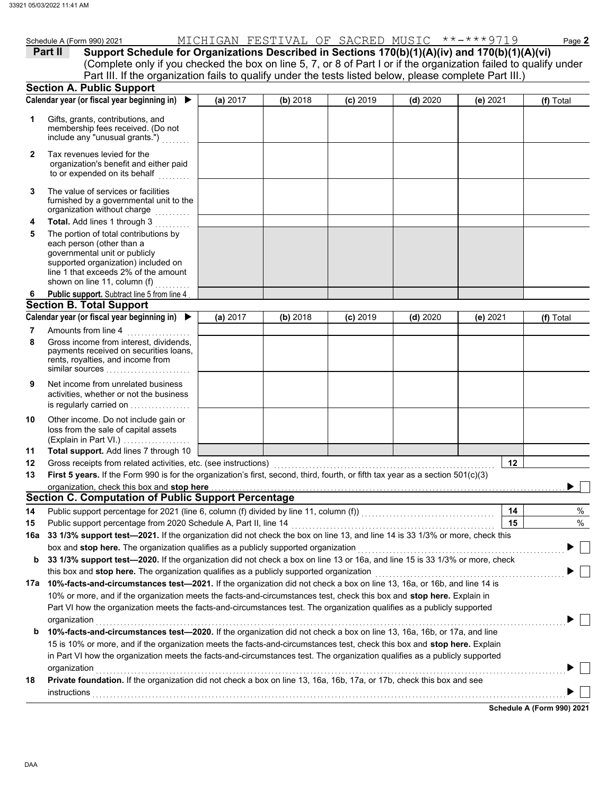Schedule A (Form 990) 2021 MICHIGAN FESTIVAL OF SACRED MUSIC \*\*-\*\*\*9719 Page **2** 

(Complete only if you checked the box on line 5, 7, or 8 of Part I or if the organization failed to qualify under **Part II Support Schedule for Organizations Described in Sections 170(b)(1)(A)(iv) and 170(b)(1)(A)(vi)** Part III. If the organization fails to qualify under the tests listed below, please complete Part III.)

|              | <b>Section A. Public Support</b>                                                                                                                                                                                                                                                                                                                                                                                                                                       |          |          |            |            |          |                            |  |  |
|--------------|------------------------------------------------------------------------------------------------------------------------------------------------------------------------------------------------------------------------------------------------------------------------------------------------------------------------------------------------------------------------------------------------------------------------------------------------------------------------|----------|----------|------------|------------|----------|----------------------------|--|--|
|              | Calendar year (or fiscal year beginning in) $\blacktriangleright$                                                                                                                                                                                                                                                                                                                                                                                                      | (a) 2017 | (b) 2018 | $(c)$ 2019 | (d) 2020   | (e) 2021 | (f) Total                  |  |  |
| 1            | Gifts, grants, contributions, and<br>membership fees received. (Do not<br>include any "unusual grants.")                                                                                                                                                                                                                                                                                                                                                               |          |          |            |            |          |                            |  |  |
| $\mathbf{2}$ | Tax revenues levied for the<br>organization's benefit and either paid<br>to or expended on its behalf                                                                                                                                                                                                                                                                                                                                                                  |          |          |            |            |          |                            |  |  |
| 3            | The value of services or facilities<br>furnished by a governmental unit to the<br>organization without charge                                                                                                                                                                                                                                                                                                                                                          |          |          |            |            |          |                            |  |  |
| 4<br>5       | Total. Add lines 1 through 3<br>The portion of total contributions by<br>each person (other than a<br>governmental unit or publicly<br>supported organization) included on<br>line 1 that exceeds 2% of the amount<br>shown on line 11, column (f)                                                                                                                                                                                                                     |          |          |            |            |          |                            |  |  |
| 6            | Public support. Subtract line 5 from line 4                                                                                                                                                                                                                                                                                                                                                                                                                            |          |          |            |            |          |                            |  |  |
|              | <b>Section B. Total Support</b>                                                                                                                                                                                                                                                                                                                                                                                                                                        |          |          |            |            |          |                            |  |  |
|              | Calendar year (or fiscal year beginning in)                                                                                                                                                                                                                                                                                                                                                                                                                            | (a) 2017 | (b) 2018 | $(c)$ 2019 | $(d)$ 2020 | (e) 2021 | (f) Total                  |  |  |
| 7            | Amounts from line 4                                                                                                                                                                                                                                                                                                                                                                                                                                                    |          |          |            |            |          |                            |  |  |
| 8            | Gross income from interest, dividends.<br>payments received on securities loans,<br>rents, royalties, and income from<br>similar sources                                                                                                                                                                                                                                                                                                                               |          |          |            |            |          |                            |  |  |
| 9            | Net income from unrelated business<br>activities, whether or not the business<br>is regularly carried on                                                                                                                                                                                                                                                                                                                                                               |          |          |            |            |          |                            |  |  |
| 10           | Other income. Do not include gain or<br>loss from the sale of capital assets<br>(Explain in Part VI.)                                                                                                                                                                                                                                                                                                                                                                  |          |          |            |            |          |                            |  |  |
| 11           | Total support. Add lines 7 through 10                                                                                                                                                                                                                                                                                                                                                                                                                                  |          |          |            |            |          |                            |  |  |
| 12           | Gross receipts from related activities, etc. (see instructions)                                                                                                                                                                                                                                                                                                                                                                                                        |          |          |            |            | 12       |                            |  |  |
| 13           | First 5 years. If the Form 990 is for the organization's first, second, third, fourth, or fifth tax year as a section 501(c)(3)                                                                                                                                                                                                                                                                                                                                        |          |          |            |            |          |                            |  |  |
|              | organization, check this box and stop here                                                                                                                                                                                                                                                                                                                                                                                                                             |          |          |            |            |          |                            |  |  |
|              | <b>Section C. Computation of Public Support Percentage</b>                                                                                                                                                                                                                                                                                                                                                                                                             |          |          |            |            |          |                            |  |  |
| 14           |                                                                                                                                                                                                                                                                                                                                                                                                                                                                        |          |          |            |            | 14       | %                          |  |  |
| 15           | Public support percentage from 2020 Schedule A, Part II, line 14                                                                                                                                                                                                                                                                                                                                                                                                       |          |          |            |            | 15       | $\%$                       |  |  |
|              | 16a 33 1/3% support test—2021. If the organization did not check the box on line 13, and line 14 is 33 1/3% or more, check this                                                                                                                                                                                                                                                                                                                                        |          |          |            |            |          |                            |  |  |
|              | box and stop here. The organization qualifies as a publicly supported organization                                                                                                                                                                                                                                                                                                                                                                                     |          |          |            |            |          |                            |  |  |
| b            | 33 1/3% support test-2020. If the organization did not check a box on line 13 or 16a, and line 15 is 33 1/3% or more, check                                                                                                                                                                                                                                                                                                                                            |          |          |            |            |          |                            |  |  |
|              | this box and stop here. The organization qualifies as a publicly supported organization                                                                                                                                                                                                                                                                                                                                                                                |          |          |            |            |          |                            |  |  |
| 17a          | 10%-facts-and-circumstances test-2021. If the organization did not check a box on line 13, 16a, or 16b, and line 14 is<br>10% or more, and if the organization meets the facts-and-circumstances test, check this box and stop here. Explain in                                                                                                                                                                                                                        |          |          |            |            |          |                            |  |  |
|              |                                                                                                                                                                                                                                                                                                                                                                                                                                                                        |          |          |            |            |          |                            |  |  |
|              | Part VI how the organization meets the facts-and-circumstances test. The organization qualifies as a publicly supported                                                                                                                                                                                                                                                                                                                                                |          |          |            |            |          |                            |  |  |
|              | organization                                                                                                                                                                                                                                                                                                                                                                                                                                                           |          |          |            |            |          |                            |  |  |
| b            | 10%-facts-and-circumstances test-2020. If the organization did not check a box on line 13, 16a, 16b, or 17a, and line                                                                                                                                                                                                                                                                                                                                                  |          |          |            |            |          |                            |  |  |
|              | 15 is 10% or more, and if the organization meets the facts-and-circumstances test, check this box and stop here. Explain                                                                                                                                                                                                                                                                                                                                               |          |          |            |            |          |                            |  |  |
|              | in Part VI how the organization meets the facts-and-circumstances test. The organization qualifies as a publicly supported                                                                                                                                                                                                                                                                                                                                             |          |          |            |            |          |                            |  |  |
|              | organization                                                                                                                                                                                                                                                                                                                                                                                                                                                           |          |          |            |            |          |                            |  |  |
| 18           | Private foundation. If the organization did not check a box on line 13, 16a, 16b, 17a, or 17b, check this box and see                                                                                                                                                                                                                                                                                                                                                  |          |          |            |            |          |                            |  |  |
|              | $\textbf{instructions} \underbrace{\hspace{1cm}}_{\hspace{1cm} \ldots \hspace{1cm} \ldots \hspace{1cm} \ldots \hspace{1cm} \ldots \hspace{1cm} \ldots \hspace{1cm} \ldots \hspace{1cm} \ldots \hspace{1cm} \ldots \hspace{1cm} \ldots \hspace{1cm} \ldots \hspace{1cm} \ldots \hspace{1cm} \ldots \hspace{1cm} \ldots \hspace{1cm} \ldots \hspace{1cm} \ldots \hspace{1cm} \ldots \hspace{1cm} \ldots \hspace{1cm} \ldots \hspace{1cm} \ldots \hspace{1cm} \ldots \hs$ |          |          |            |            |          |                            |  |  |
|              |                                                                                                                                                                                                                                                                                                                                                                                                                                                                        |          |          |            |            |          | Cahadula A (Farm 000) 2024 |  |  |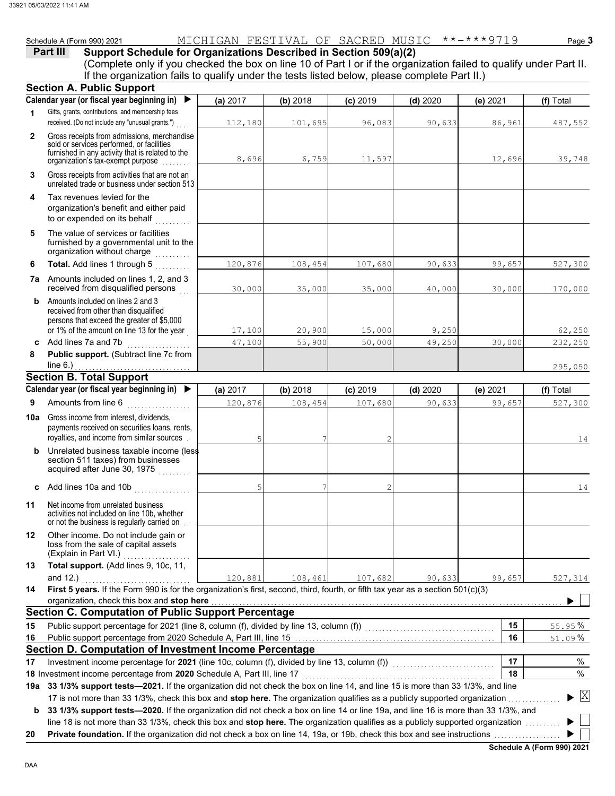#### Schedule A (Form 990) 2021 MICHIGAN FESTIVAL OF SACRED MUSIC \*\*-\*\*\*9719 Page **3**

## **Part III** Support Schedule for Organizations Described in Section 509(a)(2)

(Complete only if you checked the box on line 10 of Part I or if the organization failed to qualify under Part II. If the organization fails to qualify under the tests listed below, please complete Part II.)

|              | <b>Section A. Public Support</b>                                                                                                                                                  |          |          |            |            |          |              |
|--------------|-----------------------------------------------------------------------------------------------------------------------------------------------------------------------------------|----------|----------|------------|------------|----------|--------------|
|              | Calendar year (or fiscal year beginning in) ▶                                                                                                                                     | (a) 2017 | (b) 2018 | $(c)$ 2019 | (d) 2020   | (e) 2021 | (f) Total    |
| 1            | Gifts, grants, contributions, and membership fees<br>received. (Do not include any "unusual grants.")                                                                             | 112,180  | 101,695  | 96,083     | 90,633     | 86,961   | 487,552      |
|              |                                                                                                                                                                                   |          |          |            |            |          |              |
| $\mathbf{2}$ | Gross receipts from admissions, merchandise<br>sold or services performed, or facilities<br>furnished in any activity that is related to the<br>organization's tax-exempt purpose | 8,696    | 6,759    | 11,597     |            | 12,696   | 39,748       |
| 3            | Gross receipts from activities that are not an<br>unrelated trade or business under section 513                                                                                   |          |          |            |            |          |              |
| 4            | Tax revenues levied for the<br>organization's benefit and either paid<br>to or expended on its behalf                                                                             |          |          |            |            |          |              |
| 5            | The value of services or facilities<br>furnished by a governmental unit to the<br>organization without charge                                                                     |          |          |            |            |          |              |
| 6            | Total. Add lines 1 through 5                                                                                                                                                      | 120,876  | 108,454  | 107,680    | 90,633     | 99,657   | 527,300      |
|              | 7a Amounts included on lines 1, 2, and 3<br>received from disqualified persons                                                                                                    | 30,000   | 35,000   | 35,000     | 40,000     | 30,000   | 170,000      |
| b            | Amounts included on lines 2 and 3<br>received from other than disqualified<br>persons that exceed the greater of \$5,000<br>or 1% of the amount on line 13 for the year           | 17,100   | 20,900   | 15,000     | 9,250      |          | 62,250       |
| C            | Add lines 7a and 7b                                                                                                                                                               | 47,100   | 55,900   | 50,000     | 49,250     | 30,000   | 232,250      |
| 8            | Public support. (Subtract line 7c from<br>line $6.$ )                                                                                                                             |          |          |            |            |          | 295,050      |
|              | <b>Section B. Total Support</b>                                                                                                                                                   |          |          |            |            |          |              |
|              | Calendar year (or fiscal year beginning in)                                                                                                                                       | (a) 2017 | (b) 2018 | $(c)$ 2019 | $(d)$ 2020 | (e) 2021 | (f) Total    |
| 9            | Amounts from line 6<br>and a straightful and a straightful                                                                                                                        | 120,876  | 108,454  | 107,680    | 90,633     | 99,657   | 527,300      |
|              | <b>10a</b> Gross income from interest, dividends,<br>payments received on securities loans, rents,<br>royalties, and income from similar sources                                  |          |          |            |            |          | 14           |
|              | <b>b</b> Unrelated business taxable income (less<br>section 511 taxes) from businesses<br>acquired after June 30, 1975                                                            |          |          |            |            |          |              |
| c            | Add lines 10a and 10b                                                                                                                                                             |          |          |            |            |          | 14           |
| 11           | Net income from unrelated business<br>activities not included on line 10b, whether<br>or not the business is regularly carried on                                                 |          |          |            |            |          |              |
| 12           | Other income. Do not include gain or<br>loss from the sale of capital assets<br>(Explain in Part VI.)                                                                             |          |          |            |            |          |              |
| 13           | Total support. (Add lines 9, 10c, 11,                                                                                                                                             |          |          |            |            |          |              |
|              | and 12.)                                                                                                                                                                          | 120,881  | 108,461  | 107,682    | 90,633     | 99,657   | 527,314      |
| 14           | First 5 years. If the Form 990 is for the organization's first, second, third, fourth, or fifth tax year as a section 501(c)(3)                                                   |          |          |            |            |          |              |
|              | organization, check this box and stop here                                                                                                                                        |          |          |            |            |          |              |
|              | <b>Section C. Computation of Public Support Percentage</b>                                                                                                                        |          |          |            |            |          |              |
| 15           | Public support percentage for 2021 (line 8, column (f), divided by line 13, column (f)) [[[[[[[[[[[[[[[[[[[[[                                                                     |          |          |            |            | 15       | 55.95%       |
| 16           | Section D. Computation of Investment Income Percentage                                                                                                                            |          |          |            |            | 16       | 51.09%       |
| 17           | Investment income percentage for 2021 (line 10c, column (f), divided by line 13, column (f)) [[[[[[[[[[[[[[[[                                                                     |          |          |            |            | 17       | %            |
|              | 18 Investment income percentage from 2020 Schedule A, Part III, line 17                                                                                                           |          |          |            |            | 18       | $\%$         |
| 19а          | 33 1/3% support tests-2021. If the organization did not check the box on line 14, and line 15 is more than 33 1/3%, and line                                                      |          |          |            |            |          |              |
|              | 17 is not more than 33 1/3%, check this box and stop here. The organization qualifies as a publicly supported organization                                                        |          |          |            |            |          | $\mathbf{X}$ |
| b            | 33 1/3% support tests-2020. If the organization did not check a box on line 14 or line 19a, and line 16 is more than 33 1/3%, and                                                 |          |          |            |            |          |              |
|              | line 18 is not more than 33 1/3%, check this box and stop here. The organization qualifies as a publicly supported organization                                                   |          |          |            |            |          |              |
| 20           |                                                                                                                                                                                   |          |          |            |            |          |              |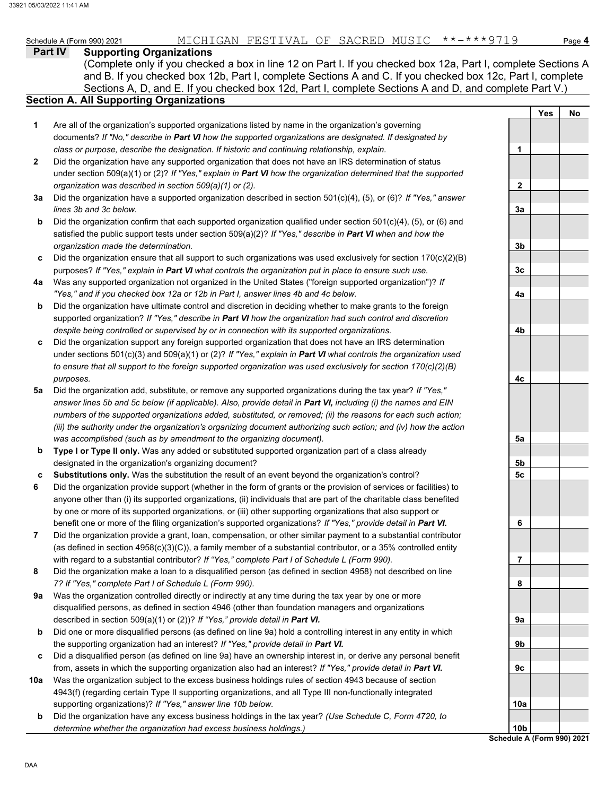#### **Part IV Supporting Organizations**

Sections A, D, and E. If you checked box 12d, Part I, complete Sections A and D, and complete Part V.) (Complete only if you checked a box in line 12 on Part I. If you checked box 12a, Part I, complete Sections A and B. If you checked box 12b, Part I, complete Sections A and C. If you checked box 12c, Part I, complete

### **Section A. All Supporting Organizations**

- Are all of the organization's supported organizations listed by name in the organization's governing documents? *If "No," describe in Part VI how the supported organizations are designated. If designated by class or purpose, describe the designation. If historic and continuing relationship, explain.* **1**
- Did the organization have any supported organization that does not have an IRS determination of status under section 509(a)(1) or (2)? *If "Yes," explain in Part VI how the organization determined that the supported organization was described in section 509(a)(1) or (2).* **2**
- **3a** Did the organization have a supported organization described in section 501(c)(4), (5), or (6)? *If "Yes," answer lines 3b and 3c below.*
- **b** Did the organization confirm that each supported organization qualified under section  $501(c)(4)$ ,  $(5)$ , or  $(6)$  and satisfied the public support tests under section 509(a)(2)? *If "Yes," describe in Part VI when and how the organization made the determination.*
- **c** Did the organization ensure that all support to such organizations was used exclusively for section  $170(c)(2)(B)$ purposes? *If "Yes," explain in Part VI what controls the organization put in place to ensure such use.*
- **4a** Was any supported organization not organized in the United States ("foreign supported organization")? *If "Yes," and if you checked box 12a or 12b in Part I, answer lines 4b and 4c below.*
- **b** Did the organization have ultimate control and discretion in deciding whether to make grants to the foreign supported organization? *If "Yes," describe in Part VI how the organization had such control and discretion despite being controlled or supervised by or in connection with its supported organizations.*
- **c** Did the organization support any foreign supported organization that does not have an IRS determination under sections 501(c)(3) and 509(a)(1) or (2)? *If "Yes," explain in Part VI what controls the organization used to ensure that all support to the foreign supported organization was used exclusively for section 170(c)(2)(B) purposes.*
- **5a** Did the organization add, substitute, or remove any supported organizations during the tax year? *If "Yes," answer lines 5b and 5c below (if applicable). Also, provide detail in Part VI, including (i) the names and EIN numbers of the supported organizations added, substituted, or removed; (ii) the reasons for each such action; (iii) the authority under the organization's organizing document authorizing such action; and (iv) how the action was accomplished (such as by amendment to the organizing document).*
- **b Type I or Type II only.** Was any added or substituted supported organization part of a class already designated in the organization's organizing document?
- **c Substitutions only.** Was the substitution the result of an event beyond the organization's control?
- **6** Did the organization provide support (whether in the form of grants or the provision of services or facilities) to anyone other than (i) its supported organizations, (ii) individuals that are part of the charitable class benefited by one or more of its supported organizations, or (iii) other supporting organizations that also support or benefit one or more of the filing organization's supported organizations? *If "Yes," provide detail in Part VI.*
- **7** Did the organization provide a grant, loan, compensation, or other similar payment to a substantial contributor (as defined in section 4958(c)(3)(C)), a family member of a substantial contributor, or a 35% controlled entity with regard to a substantial contributor? *If "Yes," complete Part I of Schedule L (Form 990).*
- **8** Did the organization make a loan to a disqualified person (as defined in section 4958) not described on line *7? If "Yes," complete Part I of Schedule L (Form 990).*
- **9a** Was the organization controlled directly or indirectly at any time during the tax year by one or more disqualified persons, as defined in section 4946 (other than foundation managers and organizations described in section 509(a)(1) or (2))? *If "Yes," provide detail in Part VI.*
- **b** Did one or more disqualified persons (as defined on line 9a) hold a controlling interest in any entity in which the supporting organization had an interest? *If "Yes," provide detail in Part VI.*
- **c** Did a disqualified person (as defined on line 9a) have an ownership interest in, or derive any personal benefit from, assets in which the supporting organization also had an interest? *If "Yes," provide detail in Part VI.*
- **10a** Was the organization subject to the excess business holdings rules of section 4943 because of section 4943(f) (regarding certain Type II supporting organizations, and all Type III non-functionally integrated supporting organizations)? *If "Yes," answer line 10b below.*
- **b** Did the organization have any excess business holdings in the tax year? *(Use Schedule C, Form 4720, to determine whether the organization had excess business holdings.)*

|                 | <b>Yes</b> | $N_{0}$ |
|-----------------|------------|---------|
| 1               |            |         |
|                 |            |         |
| 2<br>3a         |            |         |
| 3b              |            |         |
| 3c              |            |         |
| 4a              |            |         |
| 4b              |            |         |
|                 |            |         |
| 4c              |            |         |
| 5a              |            |         |
| 5b<br>5c        |            |         |
| 6<br>7          |            |         |
| 8               |            |         |
|                 |            |         |
| 9a<br>9b        |            |         |
| 9c              |            |         |
| 10a             |            |         |
| 10 <sub>b</sub> |            |         |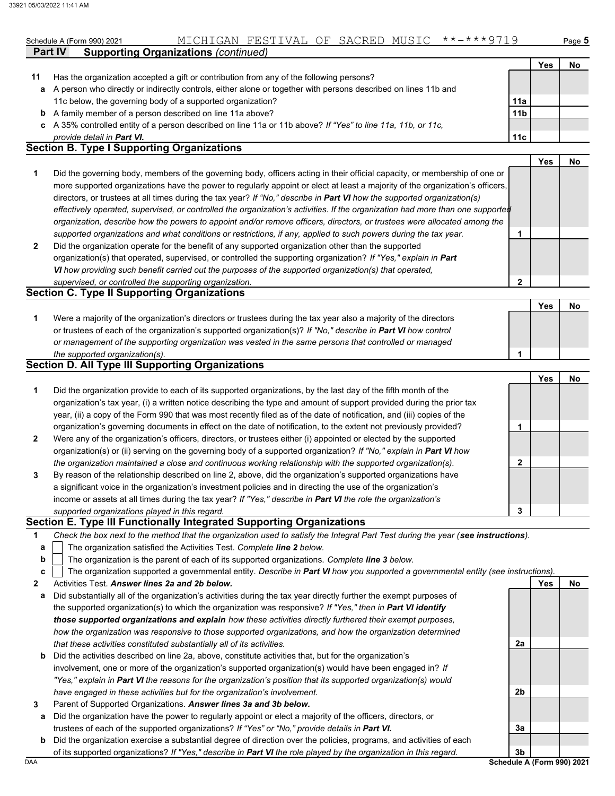|                   | Part IV<br><b>Supporting Organizations (continued)</b>                                                                                                                                                                                                                                                                                                                                                                                                                                                                                                                                                                                                                                                                                                                                                                                                                                                                                                                                                                                                                                                                                                                                                                              |                   |            |           |
|-------------------|-------------------------------------------------------------------------------------------------------------------------------------------------------------------------------------------------------------------------------------------------------------------------------------------------------------------------------------------------------------------------------------------------------------------------------------------------------------------------------------------------------------------------------------------------------------------------------------------------------------------------------------------------------------------------------------------------------------------------------------------------------------------------------------------------------------------------------------------------------------------------------------------------------------------------------------------------------------------------------------------------------------------------------------------------------------------------------------------------------------------------------------------------------------------------------------------------------------------------------------|-------------------|------------|-----------|
|                   |                                                                                                                                                                                                                                                                                                                                                                                                                                                                                                                                                                                                                                                                                                                                                                                                                                                                                                                                                                                                                                                                                                                                                                                                                                     |                   | <b>Yes</b> | <b>No</b> |
| 11                | Has the organization accepted a gift or contribution from any of the following persons?                                                                                                                                                                                                                                                                                                                                                                                                                                                                                                                                                                                                                                                                                                                                                                                                                                                                                                                                                                                                                                                                                                                                             |                   |            |           |
| a                 | A person who directly or indirectly controls, either alone or together with persons described on lines 11b and                                                                                                                                                                                                                                                                                                                                                                                                                                                                                                                                                                                                                                                                                                                                                                                                                                                                                                                                                                                                                                                                                                                      |                   |            |           |
|                   | 11c below, the governing body of a supported organization?                                                                                                                                                                                                                                                                                                                                                                                                                                                                                                                                                                                                                                                                                                                                                                                                                                                                                                                                                                                                                                                                                                                                                                          | 11a               |            |           |
| b                 | A family member of a person described on line 11a above?                                                                                                                                                                                                                                                                                                                                                                                                                                                                                                                                                                                                                                                                                                                                                                                                                                                                                                                                                                                                                                                                                                                                                                            | 11 <sub>b</sub>   |            |           |
|                   | c A 35% controlled entity of a person described on line 11a or 11b above? If "Yes" to line 11a, 11b, or 11c,                                                                                                                                                                                                                                                                                                                                                                                                                                                                                                                                                                                                                                                                                                                                                                                                                                                                                                                                                                                                                                                                                                                        |                   |            |           |
|                   | provide detail in <b>Part VI.</b>                                                                                                                                                                                                                                                                                                                                                                                                                                                                                                                                                                                                                                                                                                                                                                                                                                                                                                                                                                                                                                                                                                                                                                                                   | 11 <sub>c</sub>   |            |           |
|                   | <b>Section B. Type I Supporting Organizations</b>                                                                                                                                                                                                                                                                                                                                                                                                                                                                                                                                                                                                                                                                                                                                                                                                                                                                                                                                                                                                                                                                                                                                                                                   |                   |            |           |
|                   |                                                                                                                                                                                                                                                                                                                                                                                                                                                                                                                                                                                                                                                                                                                                                                                                                                                                                                                                                                                                                                                                                                                                                                                                                                     |                   | <b>Yes</b> | No        |
| 1<br>$\mathbf{2}$ | Did the governing body, members of the governing body, officers acting in their official capacity, or membership of one or<br>more supported organizations have the power to regularly appoint or elect at least a majority of the organization's officers,<br>directors, or trustees at all times during the tax year? If "No," describe in <b>Part VI</b> how the supported organization(s)<br>effectively operated, supervised, or controlled the organization's activities. If the organization had more than one supported<br>organization, describe how the powers to appoint and/or remove officers, directors, or trustees were allocated among the<br>supported organizations and what conditions or restrictions, if any, applied to such powers during the tax year.<br>Did the organization operate for the benefit of any supported organization other than the supported<br>organization(s) that operated, supervised, or controlled the supporting organization? If "Yes," explain in Part<br>VI how providing such benefit carried out the purposes of the supported organization(s) that operated,<br>supervised, or controlled the supporting organization.<br><b>Section C. Type II Supporting Organizations</b> | 1<br>$\mathbf{2}$ |            |           |
|                   |                                                                                                                                                                                                                                                                                                                                                                                                                                                                                                                                                                                                                                                                                                                                                                                                                                                                                                                                                                                                                                                                                                                                                                                                                                     |                   | <b>Yes</b> | No        |
| 1                 | Were a majority of the organization's directors or trustees during the tax year also a majority of the directors                                                                                                                                                                                                                                                                                                                                                                                                                                                                                                                                                                                                                                                                                                                                                                                                                                                                                                                                                                                                                                                                                                                    |                   |            |           |
|                   | or trustees of each of the organization's supported organization(s)? If "No," describe in Part VI how control                                                                                                                                                                                                                                                                                                                                                                                                                                                                                                                                                                                                                                                                                                                                                                                                                                                                                                                                                                                                                                                                                                                       |                   |            |           |
|                   | or management of the supporting organization was vested in the same persons that controlled or managed                                                                                                                                                                                                                                                                                                                                                                                                                                                                                                                                                                                                                                                                                                                                                                                                                                                                                                                                                                                                                                                                                                                              |                   |            |           |

| the supported organization(s).                   |  |
|--------------------------------------------------|--|
| Section D. All Type III Supporting Organizations |  |

|                |                                                                                                                        |   | Yes |  |
|----------------|------------------------------------------------------------------------------------------------------------------------|---|-----|--|
| 1              | Did the organization provide to each of its supported organizations, by the last day of the fifth month of the         |   |     |  |
|                | organization's tax year, (i) a written notice describing the type and amount of support provided during the prior tax  |   |     |  |
|                | year, (ii) a copy of the Form 990 that was most recently filed as of the date of notification, and (iii) copies of the |   |     |  |
|                | organization's governing documents in effect on the date of notification, to the extent not previously provided?       |   |     |  |
| $\overline{2}$ | Were any of the organization's officers, directors, or trustees either (i) appointed or elected by the supported       |   |     |  |
|                | organization(s) or (ii) serving on the governing body of a supported organization? If "No," explain in Part VI how     |   |     |  |
|                | the organization maintained a close and continuous working relationship with the supported organization(s).            | າ |     |  |
| 3              | By reason of the relationship described on line 2, above, did the organization's supported organizations have          |   |     |  |
|                | a significant voice in the organization's investment policies and in directing the use of the organization's           |   |     |  |
|                | income or assets at all times during the tax year? If "Yes," describe in Part VI the role the organization's           |   |     |  |
|                | supported organizations played in this regard.                                                                         | 3 |     |  |

#### **Section E. Type III Functionally Integrated Supporting Organizations**

| Check the box next to the method that the organization used to satisfy the Integral Part Test during the year (see instructions). |  |  |
|-----------------------------------------------------------------------------------------------------------------------------------|--|--|
|                                                                                                                                   |  |  |

- The organization satisfied the Activities Test. *Complete line 2 below.* **a**
- The organization is the parent of each of its supported organizations. *Complete line 3 below.* **b**

|  |  | $z$   The organization supported a governmental entity. Describe in Part VI how you supported a governmental entity (see instructions). |
|--|--|-----------------------------------------------------------------------------------------------------------------------------------------|
|  |  |                                                                                                                                         |
|  |  |                                                                                                                                         |

- **2** Activities Test. *Answer lines 2a and 2b below.*
- **a** Did substantially all of the organization's activities during the tax year directly further the exempt purposes of the supported organization(s) to which the organization was responsive? *If "Yes," then in Part VI identify those supported organizations and explain how these activities directly furthered their exempt purposes, how the organization was responsive to those supported organizations, and how the organization determined that these activities constituted substantially all of its activities.*
- **b** Did the activities described on line 2a, above, constitute activities that, but for the organization's involvement, one or more of the organization's supported organization(s) would have been engaged in? *If "Yes," explain in Part VI the reasons for the organization's position that its supported organization(s) would have engaged in these activities but for the organization's involvement.*
- **3** Parent of Supported Organizations. *Answer lines 3a and 3b below.*
	- **a** Did the organization have the power to regularly appoint or elect a majority of the officers, directors, or trustees of each of the supported organizations? *If "Yes" or "No," provide details in Part VI.*
- DAA **Schedule A (Form 990) 2021 b** Did the organization exercise a substantial degree of direction over the policies, programs, and activities of each of its supported organizations? *If "Yes," describe in Part VI the role played by the organization in this regard.*

**2a**

**2b**

**3a**

**3b**

**Yes No**

**1**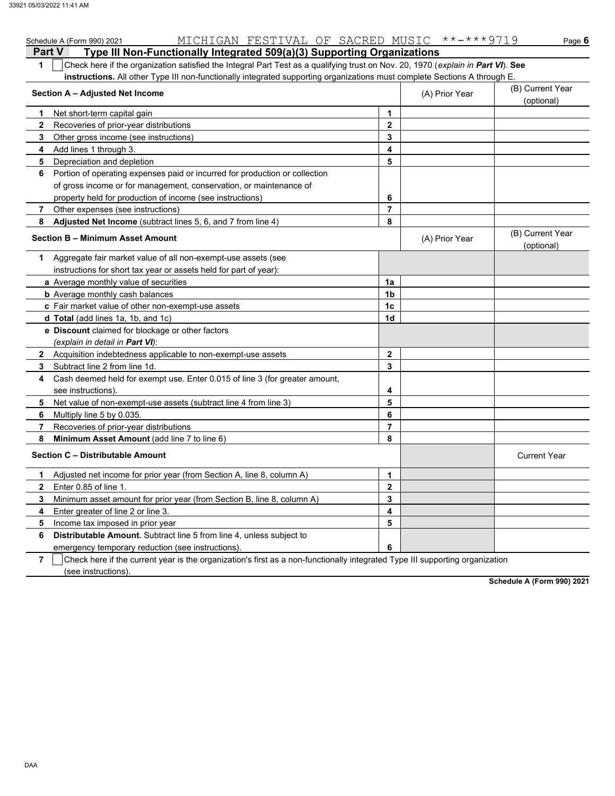| MICHIGAN FESTIVAL OF SACRED MUSIC **-***9719<br>Schedule A (Form 990) 2021                                                                                                                                                           |                |                | Page 6                         |
|--------------------------------------------------------------------------------------------------------------------------------------------------------------------------------------------------------------------------------------|----------------|----------------|--------------------------------|
| Type III Non-Functionally Integrated 509(a)(3) Supporting Organizations<br>Part V<br>Check here if the organization satisfied the Integral Part Test as a qualifying trust on Nov. 20, 1970 (explain in Part VI). See<br>$\mathbf 1$ |                |                |                                |
|                                                                                                                                                                                                                                      |                |                |                                |
| instructions. All other Type III non-functionally integrated supporting organizations must complete Sections A through E.                                                                                                            |                |                |                                |
| Section A - Adjusted Net Income                                                                                                                                                                                                      |                | (A) Prior Year | (B) Current Year               |
|                                                                                                                                                                                                                                      |                |                | (optional)                     |
| Net short-term capital gain<br>1                                                                                                                                                                                                     | 1              |                |                                |
| Recoveries of prior-year distributions<br>$\mathbf{2}$                                                                                                                                                                               | $\mathbf{2}$   |                |                                |
| Other gross income (see instructions)<br>3                                                                                                                                                                                           | 3              |                |                                |
| 4<br>Add lines 1 through 3.                                                                                                                                                                                                          | 4              |                |                                |
| Depreciation and depletion<br>5                                                                                                                                                                                                      | 5              |                |                                |
| Portion of operating expenses paid or incurred for production or collection<br>6                                                                                                                                                     |                |                |                                |
| of gross income or for management, conservation, or maintenance of                                                                                                                                                                   |                |                |                                |
| property held for production of income (see instructions)                                                                                                                                                                            | 6              |                |                                |
| $\mathbf{7}$<br>Other expenses (see instructions)                                                                                                                                                                                    | 7              |                |                                |
| Adjusted Net Income (subtract lines 5, 6, and 7 from line 4)<br>8                                                                                                                                                                    | 8              |                |                                |
| <b>Section B - Minimum Asset Amount</b>                                                                                                                                                                                              |                | (A) Prior Year | (B) Current Year<br>(optional) |
| Aggregate fair market value of all non-exempt-use assets (see<br>1                                                                                                                                                                   |                |                |                                |
| instructions for short tax year or assets held for part of year):                                                                                                                                                                    |                |                |                                |
| a Average monthly value of securities                                                                                                                                                                                                | 1a             |                |                                |
| <b>b</b> Average monthly cash balances                                                                                                                                                                                               | 1b             |                |                                |
| c Fair market value of other non-exempt-use assets                                                                                                                                                                                   | 1c             |                |                                |
| d Total (add lines 1a, 1b, and 1c)                                                                                                                                                                                                   | 1d             |                |                                |
| e Discount claimed for blockage or other factors                                                                                                                                                                                     |                |                |                                |
| (explain in detail in Part VI):                                                                                                                                                                                                      |                |                |                                |
| 2 Acquisition indebtedness applicable to non-exempt-use assets                                                                                                                                                                       | 2              |                |                                |
| Subtract line 2 from line 1d.<br>3                                                                                                                                                                                                   | 3              |                |                                |
| Cash deemed held for exempt use. Enter 0.015 of line 3 (for greater amount,<br>4                                                                                                                                                     |                |                |                                |
| see instructions).                                                                                                                                                                                                                   | 4              |                |                                |
| 5<br>Net value of non-exempt-use assets (subtract line 4 from line 3)                                                                                                                                                                | 5              |                |                                |
| Multiply line 5 by 0.035.<br>6                                                                                                                                                                                                       | 6              |                |                                |
| $\mathbf{7}$<br>Recoveries of prior-year distributions                                                                                                                                                                               | $\overline{7}$ |                |                                |
| Minimum Asset Amount (add line 7 to line 6)<br>8                                                                                                                                                                                     | 8              |                |                                |
| Section C - Distributable Amount                                                                                                                                                                                                     |                |                | <b>Current Year</b>            |
| Adjusted net income for prior year (from Section A, line 8, column A)<br>1                                                                                                                                                           | 1              |                |                                |
| $\mathbf{2}$<br>Enter 0.85 of line 1.                                                                                                                                                                                                | $\mathbf 2$    |                |                                |
| 3<br>Minimum asset amount for prior year (from Section B, line 8, column A)                                                                                                                                                          | 3              |                |                                |
| Enter greater of line 2 or line 3.<br>4                                                                                                                                                                                              | 4              |                |                                |
| Income tax imposed in prior year<br>5                                                                                                                                                                                                | 5              |                |                                |
| <b>Distributable Amount.</b> Subtract line 5 from line 4, unless subject to<br>6                                                                                                                                                     |                |                |                                |
| emergency temporary reduction (see instructions).                                                                                                                                                                                    | 6              |                |                                |

**7** (see instructions). Check here if the current year is the organization's first as a non-functionally integrated Type III supporting organization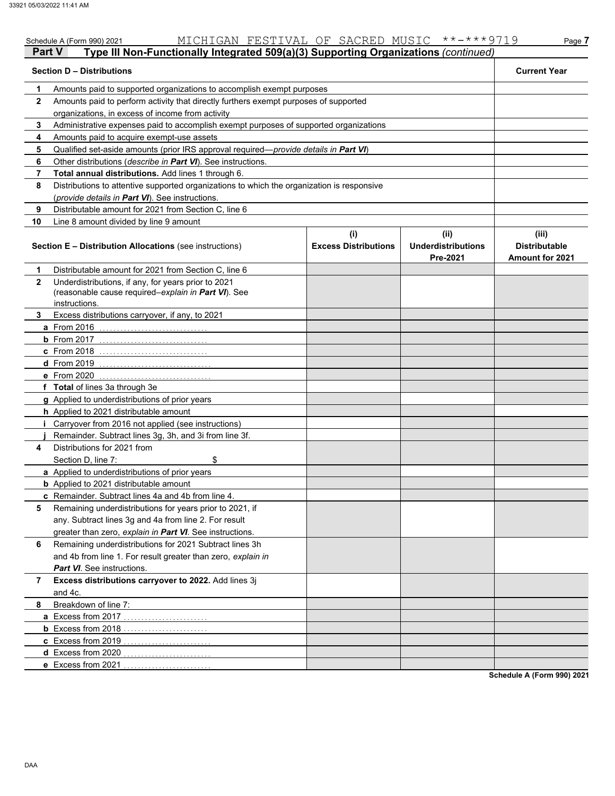#### Schedule A (Form 990) 2021 MICHIGAN FESTIVAL OF SACRED MUSIC \*\*-\*\*\*9719 Page **7 Part V Type III Non-Functionally Integrated 509(a)(3) Supporting Organizations** *(continued)* **Section D – Distributions Current Year 1 2 3 4 5 6 7 8 9 10** Amounts paid to supported organizations to accomplish exempt purposes Amounts paid to perform activity that directly furthers exempt purposes of supported organizations, in excess of income from activity Administrative expenses paid to accomplish exempt purposes of supported organizations Amounts paid to acquire exempt-use assets Qualified set-aside amounts (prior IRS approval required—*provide details in Part VI*) Other distributions (*describe in Part VI*). See instructions. **Total annual distributions.** Add lines 1 through 6. Distributions to attentive supported organizations to which the organization is responsive (*provide details in Part VI*). See instructions. Distributable amount for 2021 from Section C, line 6 Line 8 amount divided by line 9 amount **Section E – Distribution Allocations** (see instructions) **Excess Distributions (i) (ii) Underdistributions Pre-2021 (iii) Distributable Amount for 2021 3 2 1 a** From 2016 . . . . . . . . . . . . . . . . . . . . . . . . . . . . . . . **b c** Distributable amount for 2021 from Section C, line 6 Underdistributions, if any, for years prior to 2021 (reasonable cause required–*explain in Part VI*). See Excess distributions carryover, if any, to 2021 From 2018 . . . . . . . . . . . . . . . . . . . . . . . . . . . . . . . From 2017 . . . . . . . . . . . . . . . . . . . . . . . . . . . . . . . instructions.

|   | <b>b</b> From 2017                                           |  |                            |
|---|--------------------------------------------------------------|--|----------------------------|
|   |                                                              |  |                            |
|   | d From 2019                                                  |  |                            |
|   | e From 2020<br>. <u>.</u>                                    |  |                            |
|   | f Total of lines 3a through 3e                               |  |                            |
|   | g Applied to underdistributions of prior years               |  |                            |
|   | h Applied to 2021 distributable amount                       |  |                            |
|   | Carryover from 2016 not applied (see instructions)           |  |                            |
|   | Remainder. Subtract lines 3g, 3h, and 3i from line 3f.       |  |                            |
| 4 | Distributions for 2021 from                                  |  |                            |
|   | Section D, line 7:<br>\$                                     |  |                            |
|   | a Applied to underdistributions of prior years               |  |                            |
|   | <b>b</b> Applied to 2021 distributable amount                |  |                            |
|   | c Remainder. Subtract lines 4a and 4b from line 4.           |  |                            |
| 5 | Remaining underdistributions for years prior to 2021, if     |  |                            |
|   | any. Subtract lines 3g and 4a from line 2. For result        |  |                            |
|   | greater than zero, explain in Part VI. See instructions.     |  |                            |
| 6 | Remaining underdistributions for 2021 Subtract lines 3h      |  |                            |
|   | and 4b from line 1. For result greater than zero, explain in |  |                            |
|   | <b>Part VI.</b> See instructions.                            |  |                            |
| 7 | Excess distributions carryover to 2022. Add lines 3j         |  |                            |
|   | and 4c.                                                      |  |                            |
| 8 | Breakdown of line 7:                                         |  |                            |
|   | a Excess from 2017                                           |  |                            |
|   | <b>b</b> Excess from 2018                                    |  |                            |
|   | <b>c</b> Excess from 2019                                    |  |                            |
|   | d Excess from 2020                                           |  |                            |
|   | e Excess from 2021                                           |  |                            |
|   |                                                              |  | Schedule A (Form 990) 2021 |

DAA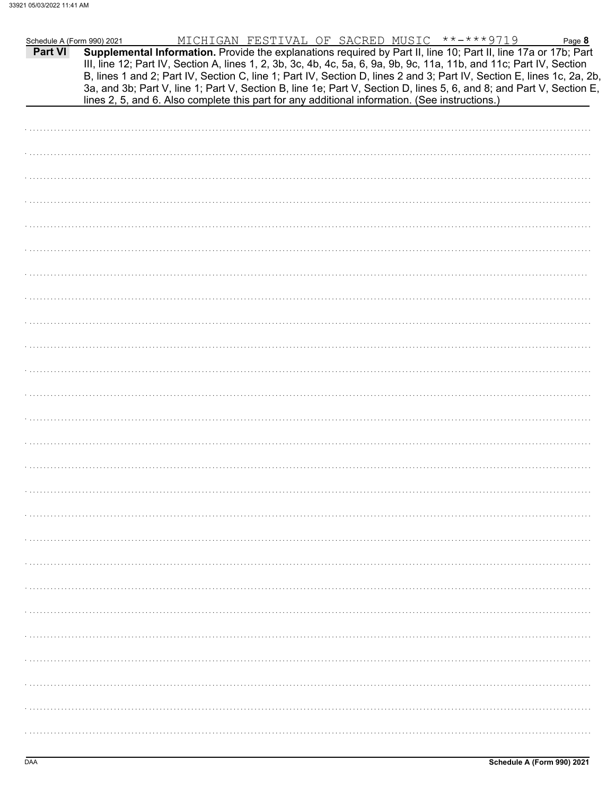| Schedule A (Form 990) 2021 |                                                                                                |  | MICHIGAN FESTIVAL OF SACRED MUSIC **-***9719 | Page 8                                                                                                                                                                                                                                                                                                                                                                                                                                                                                    |  |
|----------------------------|------------------------------------------------------------------------------------------------|--|----------------------------------------------|-------------------------------------------------------------------------------------------------------------------------------------------------------------------------------------------------------------------------------------------------------------------------------------------------------------------------------------------------------------------------------------------------------------------------------------------------------------------------------------------|--|
| Part VI                    | lines 2, 5, and 6. Also complete this part for any additional information. (See instructions.) |  |                                              | Supplemental Information. Provide the explanations required by Part II, line 10; Part II, line 17a or 17b; Part<br>III, line 12; Part IV, Section A, lines 1, 2, 3b, 3c, 4b, 4c, 5a, 6, 9a, 9b, 9c, 11a, 11b, and 11c; Part IV, Section<br>B, lines 1 and 2; Part IV, Section C, line 1; Part IV, Section D, lines 2 and 3; Part IV, Section E, lines 1c, 2a, 2b,<br>3a, and 3b; Part V, line 1; Part V, Section B, line 1e; Part V, Section D, lines 5, 6, and 8; and Part V, Section E, |  |
|                            |                                                                                                |  |                                              |                                                                                                                                                                                                                                                                                                                                                                                                                                                                                           |  |
|                            |                                                                                                |  |                                              |                                                                                                                                                                                                                                                                                                                                                                                                                                                                                           |  |
|                            |                                                                                                |  |                                              |                                                                                                                                                                                                                                                                                                                                                                                                                                                                                           |  |
|                            |                                                                                                |  |                                              |                                                                                                                                                                                                                                                                                                                                                                                                                                                                                           |  |
|                            |                                                                                                |  |                                              |                                                                                                                                                                                                                                                                                                                                                                                                                                                                                           |  |
|                            |                                                                                                |  |                                              |                                                                                                                                                                                                                                                                                                                                                                                                                                                                                           |  |
|                            |                                                                                                |  |                                              |                                                                                                                                                                                                                                                                                                                                                                                                                                                                                           |  |
|                            |                                                                                                |  |                                              |                                                                                                                                                                                                                                                                                                                                                                                                                                                                                           |  |
|                            |                                                                                                |  |                                              |                                                                                                                                                                                                                                                                                                                                                                                                                                                                                           |  |
|                            |                                                                                                |  |                                              |                                                                                                                                                                                                                                                                                                                                                                                                                                                                                           |  |
|                            |                                                                                                |  |                                              |                                                                                                                                                                                                                                                                                                                                                                                                                                                                                           |  |
|                            |                                                                                                |  |                                              |                                                                                                                                                                                                                                                                                                                                                                                                                                                                                           |  |
|                            |                                                                                                |  |                                              |                                                                                                                                                                                                                                                                                                                                                                                                                                                                                           |  |
|                            |                                                                                                |  |                                              |                                                                                                                                                                                                                                                                                                                                                                                                                                                                                           |  |
|                            |                                                                                                |  |                                              |                                                                                                                                                                                                                                                                                                                                                                                                                                                                                           |  |
|                            |                                                                                                |  |                                              |                                                                                                                                                                                                                                                                                                                                                                                                                                                                                           |  |
|                            |                                                                                                |  |                                              |                                                                                                                                                                                                                                                                                                                                                                                                                                                                                           |  |
|                            |                                                                                                |  |                                              |                                                                                                                                                                                                                                                                                                                                                                                                                                                                                           |  |
|                            |                                                                                                |  |                                              |                                                                                                                                                                                                                                                                                                                                                                                                                                                                                           |  |
|                            |                                                                                                |  |                                              |                                                                                                                                                                                                                                                                                                                                                                                                                                                                                           |  |
|                            |                                                                                                |  |                                              |                                                                                                                                                                                                                                                                                                                                                                                                                                                                                           |  |
|                            |                                                                                                |  |                                              |                                                                                                                                                                                                                                                                                                                                                                                                                                                                                           |  |
|                            |                                                                                                |  |                                              |                                                                                                                                                                                                                                                                                                                                                                                                                                                                                           |  |
|                            |                                                                                                |  |                                              |                                                                                                                                                                                                                                                                                                                                                                                                                                                                                           |  |
|                            |                                                                                                |  |                                              |                                                                                                                                                                                                                                                                                                                                                                                                                                                                                           |  |
|                            |                                                                                                |  |                                              |                                                                                                                                                                                                                                                                                                                                                                                                                                                                                           |  |
|                            |                                                                                                |  |                                              |                                                                                                                                                                                                                                                                                                                                                                                                                                                                                           |  |
|                            |                                                                                                |  |                                              |                                                                                                                                                                                                                                                                                                                                                                                                                                                                                           |  |
|                            |                                                                                                |  |                                              |                                                                                                                                                                                                                                                                                                                                                                                                                                                                                           |  |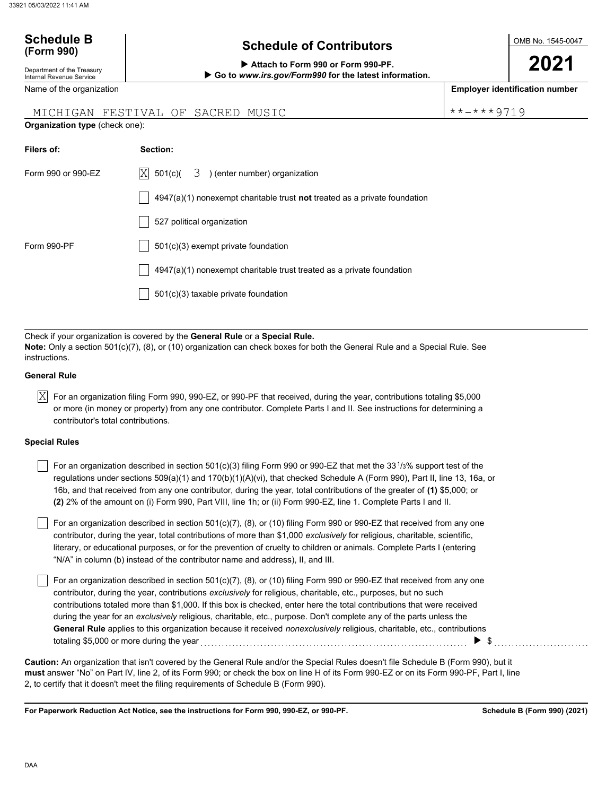| <b>Schedule B</b>                                                                  | <b>Schedule of Contributors</b>                                                                                                                                                                                                                                                                                                                                                                                                                                                                             |              | OMB No. 1545-0047                     |  |  |  |  |  |
|------------------------------------------------------------------------------------|-------------------------------------------------------------------------------------------------------------------------------------------------------------------------------------------------------------------------------------------------------------------------------------------------------------------------------------------------------------------------------------------------------------------------------------------------------------------------------------------------------------|--------------|---------------------------------------|--|--|--|--|--|
| (Form 990)<br>Department of the Treasury<br>Internal Revenue Service               | Attach to Form 990 or Form 990-PF.<br>Go to www.irs.gov/Form990 for the latest information.                                                                                                                                                                                                                                                                                                                                                                                                                 |              |                                       |  |  |  |  |  |
| Name of the organization                                                           |                                                                                                                                                                                                                                                                                                                                                                                                                                                                                                             |              | <b>Employer identification number</b> |  |  |  |  |  |
| Organization type (check one):                                                     | MICHIGAN FESTIVAL OF SACRED MUSIC                                                                                                                                                                                                                                                                                                                                                                                                                                                                           | $******9719$ |                                       |  |  |  |  |  |
| Filers of:                                                                         | Section:                                                                                                                                                                                                                                                                                                                                                                                                                                                                                                    |              |                                       |  |  |  |  |  |
| Form 990 or 990-EZ                                                                 | 3 ) (enter number) organization<br>ΙXΙ<br>501(c)(                                                                                                                                                                                                                                                                                                                                                                                                                                                           |              |                                       |  |  |  |  |  |
| $4947(a)(1)$ nonexempt charitable trust <b>not</b> treated as a private foundation |                                                                                                                                                                                                                                                                                                                                                                                                                                                                                                             |              |                                       |  |  |  |  |  |
|                                                                                    | 527 political organization                                                                                                                                                                                                                                                                                                                                                                                                                                                                                  |              |                                       |  |  |  |  |  |
| Form 990-PF                                                                        | $501(c)(3)$ exempt private foundation                                                                                                                                                                                                                                                                                                                                                                                                                                                                       |              |                                       |  |  |  |  |  |
|                                                                                    | 4947(a)(1) nonexempt charitable trust treated as a private foundation                                                                                                                                                                                                                                                                                                                                                                                                                                       |              |                                       |  |  |  |  |  |
|                                                                                    | 501(c)(3) taxable private foundation                                                                                                                                                                                                                                                                                                                                                                                                                                                                        |              |                                       |  |  |  |  |  |
|                                                                                    |                                                                                                                                                                                                                                                                                                                                                                                                                                                                                                             |              |                                       |  |  |  |  |  |
| instructions.                                                                      | Check if your organization is covered by the General Rule or a Special Rule.<br><b>Note:</b> Only a section 501(c)(7), (8), or (10) organization can check boxes for both the General Rule and a Special Rule. See                                                                                                                                                                                                                                                                                          |              |                                       |  |  |  |  |  |
| <b>General Rule</b>                                                                |                                                                                                                                                                                                                                                                                                                                                                                                                                                                                                             |              |                                       |  |  |  |  |  |
| ΙXΙ<br>contributor's total contributions.                                          | For an organization filing Form 990, 990-EZ, or 990-PF that received, during the year, contributions totaling \$5,000<br>or more (in money or property) from any one contributor. Complete Parts I and II. See instructions for determining a                                                                                                                                                                                                                                                               |              |                                       |  |  |  |  |  |
| <b>Special Rules</b>                                                               |                                                                                                                                                                                                                                                                                                                                                                                                                                                                                                             |              |                                       |  |  |  |  |  |
|                                                                                    | For an organization described in section 501(c)(3) filing Form 990 or 990-EZ that met the 33 <sup>1</sup> /3% support test of the<br>regulations under sections 509(a)(1) and 170(b)(1)(A)(vi), that checked Schedule A (Form 990), Part II, line 13, 16a, or<br>16b, and that received from any one contributor, during the year, total contributions of the greater of (1) \$5,000; or<br>(2) 2% of the amount on (i) Form 990, Part VIII, line 1h; or (ii) Form 990-EZ, line 1. Complete Parts I and II. |              |                                       |  |  |  |  |  |
|                                                                                    | $(10)$ $(11)$ $(11)$ $(11)$ $(0)$ $(10)$ $(11)$ $(11)$ $(11)$ $(11)$ $(0)$ $(0)$ $(0)$ $(0)$ $(0)$ $(0)$ $(0)$ $(0)$ $(0)$ $(0)$ $(0)$ $(0)$ $(0)$ $(0)$ $(0)$ $(0)$ $(0)$ $(0)$ $(0)$ $(0)$ $(0)$ $(0)$ $(0)$ $(0)$ $(0)$ $($                                                                                                                                                                                                                                                                              |              |                                       |  |  |  |  |  |

literary, or educational purposes, or for the prevention of cruelty to children or animals. Complete Parts I (entering  $\vert\,\,\,\vert$  For an organization described in section 501(c)(7), (8), or (10) filing Form 990 or 990-EZ that received from any one contributor, during the year, total contributions of more than \$1,000 *exclusively* for religious, charitable, scientific, "N/A" in column (b) instead of the contributor name and address), II, and III.

For an organization described in section 501(c)(7), (8), or (10) filing Form 990 or 990-EZ that received from any one contributor, during the year, contributions *exclusively* for religious, charitable, etc., purposes, but no such contributions totaled more than \$1,000. If this box is checked, enter here the total contributions that were received during the year for an *exclusively* religious, charitable, etc., purpose. Don't complete any of the parts unless the **General Rule** applies to this organization because it received *nonexclusively* religious, charitable, etc., contributions totaling \$5,000 or more during the year . . . . . . . . . . . . . . . . . . . . . . . . . . . . . . . . . . . . . . . . . . . . . . . . . . . . . . . . . . . . . . . . . . . . . . . . . . . . \$ . . . . . . . . . . . . . . . . . . . . . . . . . . .

**must** answer "No" on Part IV, line 2, of its Form 990; or check the box on line H of its Form 990-EZ or on its Form 990-PF, Part I, line 2, to certify that it doesn't meet the filing requirements of Schedule B (Form 990). **Caution:** An organization that isn't covered by the General Rule and/or the Special Rules doesn't file Schedule B (Form 990), but it

**For Paperwork Reduction Act Notice, see the instructions for Form 990, 990-EZ, or 990-PF.**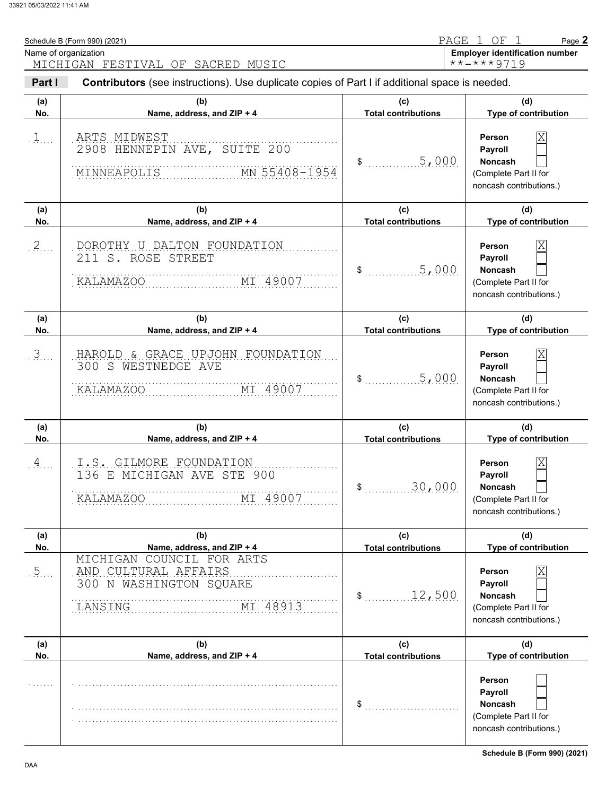|                      | Schedule B (Form 990) (2021)                                                                           |                                   | PAGE 1 OF<br>$\lceil$<br>Page 2                                                                           |
|----------------------|--------------------------------------------------------------------------------------------------------|-----------------------------------|-----------------------------------------------------------------------------------------------------------|
| Name of organization | MICHIGAN FESTIVAL OF SACRED MUSIC                                                                      |                                   | <b>Employer identification number</b><br>$******9719$                                                     |
| Part I               | Contributors (see instructions). Use duplicate copies of Part I if additional space is needed.         |                                   |                                                                                                           |
| (a)<br>No.           | (b)<br>Name, address, and ZIP + 4                                                                      | (c)<br><b>Total contributions</b> | (d)<br>Type of contribution                                                                               |
| $1$                  | ARTS MIDWEST<br>2908 HENNEPIN AVE, SUITE 200<br>MINNEAPOLIS<br>MN 55408-1954                           | 5,000<br>\$                       | Χ<br>Person<br>Payroll<br>Noncash<br>(Complete Part II for<br>noncash contributions.)                     |
| (a)<br>No.           | (b)<br>Name, address, and ZIP + 4                                                                      | (c)<br><b>Total contributions</b> | (d)<br>Type of contribution                                                                               |
| .2                   | DOROTHY U DALTON FOUNDATION<br>211 S. ROSE STREET<br><b>KALAMAZOO</b><br>MI 49007                      | 5,000<br>\$                       | Χ<br>Person<br>Payroll<br>Noncash<br>(Complete Part II for<br>noncash contributions.)                     |
| (a)<br>No.           | (b)<br>Name, address, and ZIP + 4                                                                      | (c)<br><b>Total contributions</b> | (d)<br>Type of contribution                                                                               |
| 3                    | HAROLD & GRACE UPJOHN FOUNDATION<br>300 S WESTNEDGE AVE<br>KALAMAZOO<br>MI 49007                       | 5,000<br>\$                       | Χ<br><b>Person</b><br>Payroll<br><b>Noncash</b><br>(Complete Part II for<br>noncash contributions.)       |
| (a)<br>No.           | (b)<br>Name, address, and ZIP + 4                                                                      | (c)<br><b>Total contributions</b> | (d)<br>Type of contribution                                                                               |
| $4\overline{ }$      | GILMORE FOUNDATION<br>136<br>E MICHIGAN AVE STE 900<br>KALAMAZOO<br>MI 49007                           | 30,000                            | $\overline{X}$<br>Person<br><b>Payroll</b><br>Noncash<br>(Complete Part II for<br>noncash contributions.) |
| (a)<br>No.           | (b)<br>Name, address, and ZIP + 4                                                                      | (c)<br><b>Total contributions</b> | (d)<br>Type of contribution                                                                               |
| .5                   | MICHIGAN<br>COUNCIL FOR ARTS<br>AND CULTURAL AFFAIRS<br>300 N WASHINGTON SQUARE<br>LANSING<br>MI 48913 | 12,500<br>$\mathsf{\$}$           | Χ<br>Person<br>Payroll<br>Noncash<br>(Complete Part II for<br>noncash contributions.)                     |
| (a)<br>No.           | (b)<br>Name, address, and ZIP + 4                                                                      | (c)<br><b>Total contributions</b> | (d)<br>Type of contribution                                                                               |
|                      |                                                                                                        | \$                                | Person<br>Payroll<br>Noncash<br>(Complete Part II for<br>noncash contributions.)                          |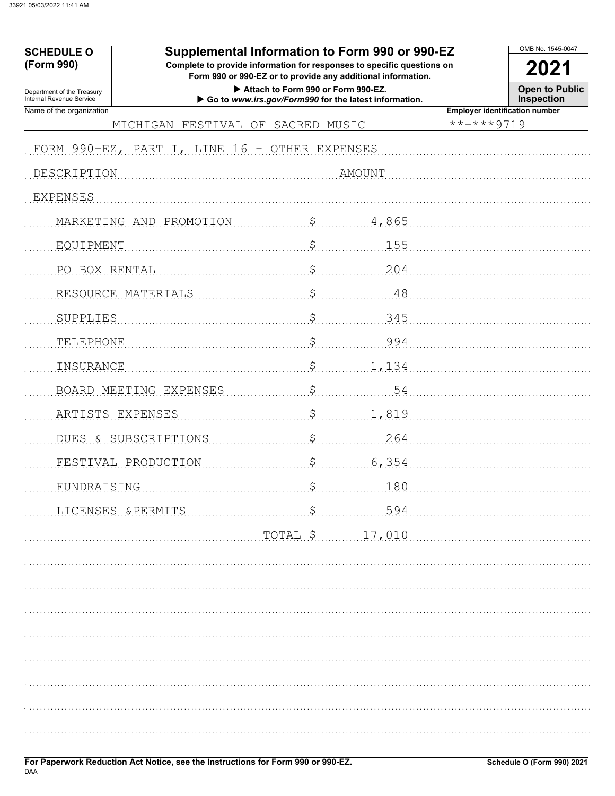| <b>SCHEDULE O</b>                                      | Supplemental Information to Form 990 or 990-EZ                                                                                         |         |                 |              | OMB No. 1545-0047<br>2021             |  |  |
|--------------------------------------------------------|----------------------------------------------------------------------------------------------------------------------------------------|---------|-----------------|--------------|---------------------------------------|--|--|
| (Form 990)                                             | Complete to provide information for responses to specific questions on<br>Form 990 or 990-EZ or to provide any additional information. |         |                 |              |                                       |  |  |
| Department of the Treasury<br>Internal Revenue Service | Attach to Form 990 or Form 990-EZ.<br>Go to www.irs.gov/Form990 for the latest information.                                            |         |                 |              |                                       |  |  |
| Name of the organization                               | MICHIGAN<br>FESTIVAL<br>OF<br>SACRED                                                                                                   |         | MUSIC           | $******9719$ | <b>Employer identification number</b> |  |  |
|                                                        | FORM 990-EZ, PART I, LINE 16 - OTHER EXPENSES                                                                                          |         |                 |              |                                       |  |  |
| DESCRIPTION                                            |                                                                                                                                        |         | <b>AMOUNT</b>   |              |                                       |  |  |
| <b>EXPENSES</b>                                        |                                                                                                                                        |         |                 |              |                                       |  |  |
|                                                        | MARKETING AND PROMOTION                                                                                                                | \$      | 4,865           |              |                                       |  |  |
| EQUIPMENT                                              |                                                                                                                                        | \$      | 155             |              |                                       |  |  |
| PO BOX RENTAL                                          |                                                                                                                                        | \$      | 204             |              |                                       |  |  |
|                                                        | RESOURCE MATERIALS                                                                                                                     | \$      | 48              |              |                                       |  |  |
| SUPPLIES                                               |                                                                                                                                        | \$      | 345             |              |                                       |  |  |
| TELEPHONE                                              |                                                                                                                                        | \$      | 994             |              |                                       |  |  |
| INSURANCE                                              |                                                                                                                                        | \$      | 1,134           |              |                                       |  |  |
|                                                        | BOARD MEETING EXPENSES                                                                                                                 | \$      | 54              |              |                                       |  |  |
|                                                        | ARTISTS EXPENSES                                                                                                                       | \$      | 1,819           |              |                                       |  |  |
|                                                        | DUES & SUBSCRIPTIONS                                                                                                                   | \$      | 264             |              |                                       |  |  |
|                                                        | FESTIVAL PRODUCTION                                                                                                                    | \$      | 6,354           |              |                                       |  |  |
| FINDRATSTNC                                            |                                                                                                                                        | $\zeta$ | 180             |              |                                       |  |  |
|                                                        | LICENSES & PERMITS                                                                                                                     | \$      | 594             |              |                                       |  |  |
|                                                        |                                                                                                                                        |         | TOTAL \$ 17,010 |              |                                       |  |  |
|                                                        |                                                                                                                                        |         |                 |              |                                       |  |  |
|                                                        |                                                                                                                                        |         |                 |              |                                       |  |  |
|                                                        |                                                                                                                                        |         |                 |              |                                       |  |  |
|                                                        |                                                                                                                                        |         |                 |              |                                       |  |  |
|                                                        |                                                                                                                                        |         |                 |              |                                       |  |  |
|                                                        |                                                                                                                                        |         |                 |              |                                       |  |  |
|                                                        |                                                                                                                                        |         |                 |              |                                       |  |  |
|                                                        |                                                                                                                                        |         |                 |              |                                       |  |  |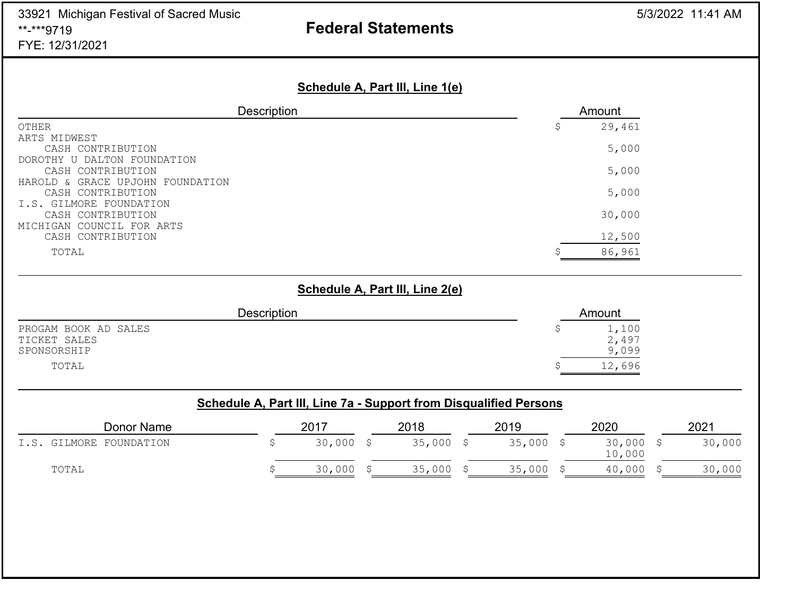33921 Michigan Festival of Sacred Music 5/3/2022 11:41 AM \*\*-\*\*\*9719FYE: 12/31/2021

# **Federal Statements**

## **Schedule A, Part III, Line 1(e)**

|                                                       | <b>Description</b> |                                                                          |              |    | Amount                  |    |        |
|-------------------------------------------------------|--------------------|--------------------------------------------------------------------------|--------------|----|-------------------------|----|--------|
| <b>OTHER</b>                                          |                    |                                                                          |              | \$ | 29,461                  |    |        |
| ARTS MIDWEST<br>CASH CONTRIBUTION                     |                    |                                                                          |              |    | 5,000                   |    |        |
| DOROTHY U DALTON FOUNDATION                           |                    |                                                                          |              |    |                         |    |        |
| CASH CONTRIBUTION<br>HAROLD & GRACE UPJOHN FOUNDATION |                    |                                                                          |              |    | 5,000                   |    |        |
| CASH CONTRIBUTION                                     |                    |                                                                          |              |    | 5,000                   |    |        |
| I.S. GILMORE FOUNDATION<br>CASH CONTRIBUTION          |                    |                                                                          |              |    | 30,000                  |    |        |
| MICHIGAN COUNCIL FOR ARTS                             |                    |                                                                          |              |    |                         |    |        |
| CASH CONTRIBUTION                                     |                    |                                                                          |              |    | 12,500                  |    |        |
| TOTAL                                                 |                    |                                                                          |              |    | 86,961                  |    |        |
|                                                       | <b>Description</b> | Schedule A, Part III, Line 2(e)                                          |              |    | Amount                  |    |        |
| PROGAM BOOK AD SALES<br>TICKET SALES<br>SPONSORSHIP   |                    |                                                                          |              | \$ | 1,100<br>2,497<br>9,099 |    |        |
| TOTAL                                                 |                    |                                                                          |              | \$ | 12,696                  |    |        |
|                                                       |                    | <b>Schedule A, Part III, Line 7a - Support from Disqualified Persons</b> |              |    |                         |    |        |
| Donor Name                                            | 2017               | 2018                                                                     | 2019         |    | 2020                    |    | 2021   |
| I.S. GILMORE FOUNDATION                               | \$<br>30,000       | 35,000<br>- \$                                                           | 35,000<br>\$ | S. | 30,000<br>10,000        | \$ | 30,000 |
| TOTAL                                                 | 30,000             | 35,000<br>S                                                              | 35,000<br>\$ | S  | 40,000                  | S  | 30,000 |